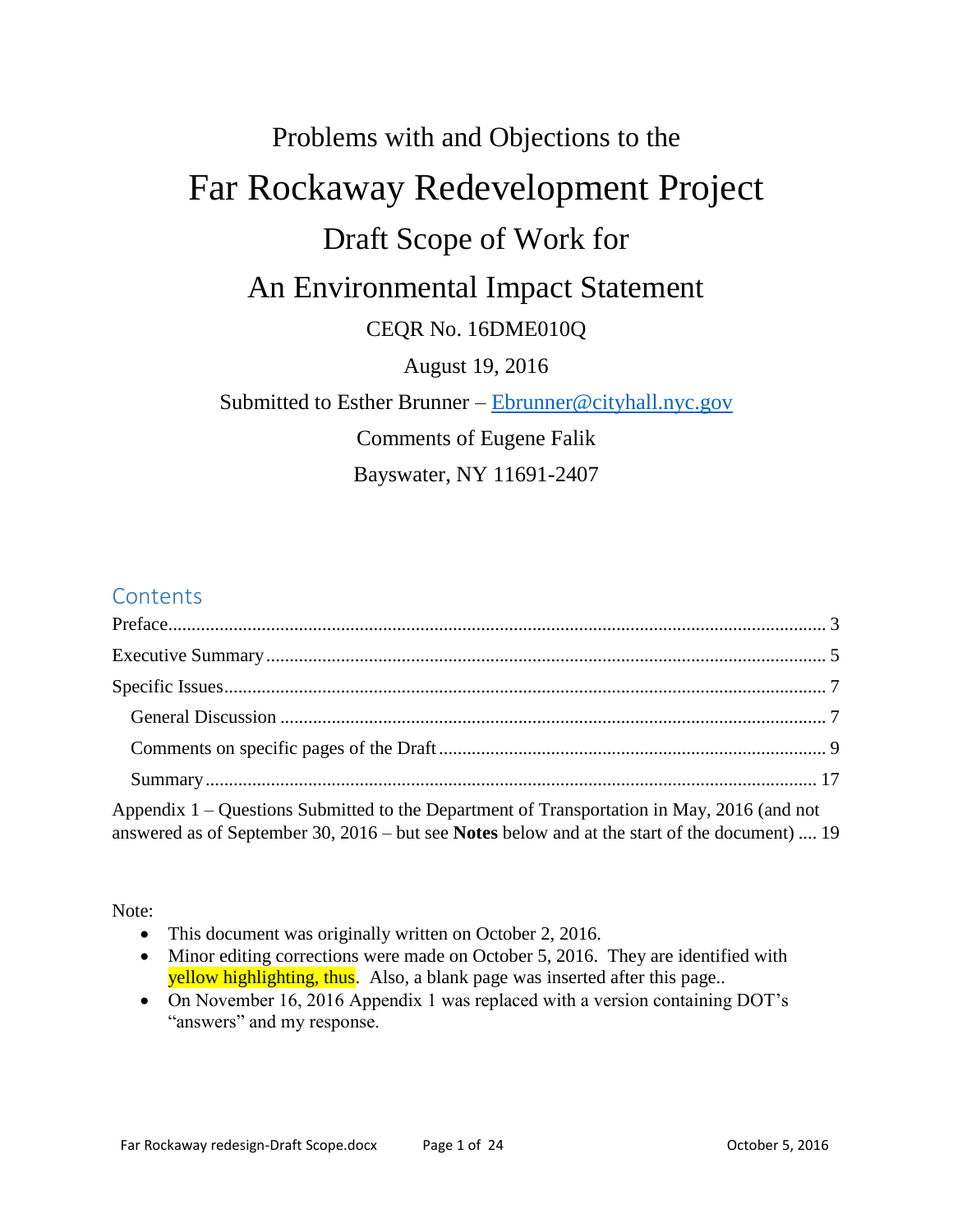# Problems with and Objections to the Far Rockaway Redevelopment Project Draft Scope of Work for An Environmental Impact Statement CEQR No. 16DME010Q August 19, 2016 Submitted to Esther Brunner – [Ebrunner@cityhall.nyc.gov](mailto:Ebrunner@cityhall.nyc.gov) Comments of Eugene Falik Bayswater, NY 11691-2407

# **Contents**

| Appendix 1 – Questions Submitted to the Department of Transportation in May, 2016 (and not<br>answered as of September 30, 2016 – but see Notes below and at the start of the document)  19 |  |
|---------------------------------------------------------------------------------------------------------------------------------------------------------------------------------------------|--|

Note:

- This document was originally written on October 2, 2016.
- Minor editing corrections were made on October 5, 2016. They are identified with yellow highlighting, thus. Also, a blank page was inserted after this page..
- On November 16, 2016 Appendix 1 was replaced with a version containing DOT's "answers" and my response.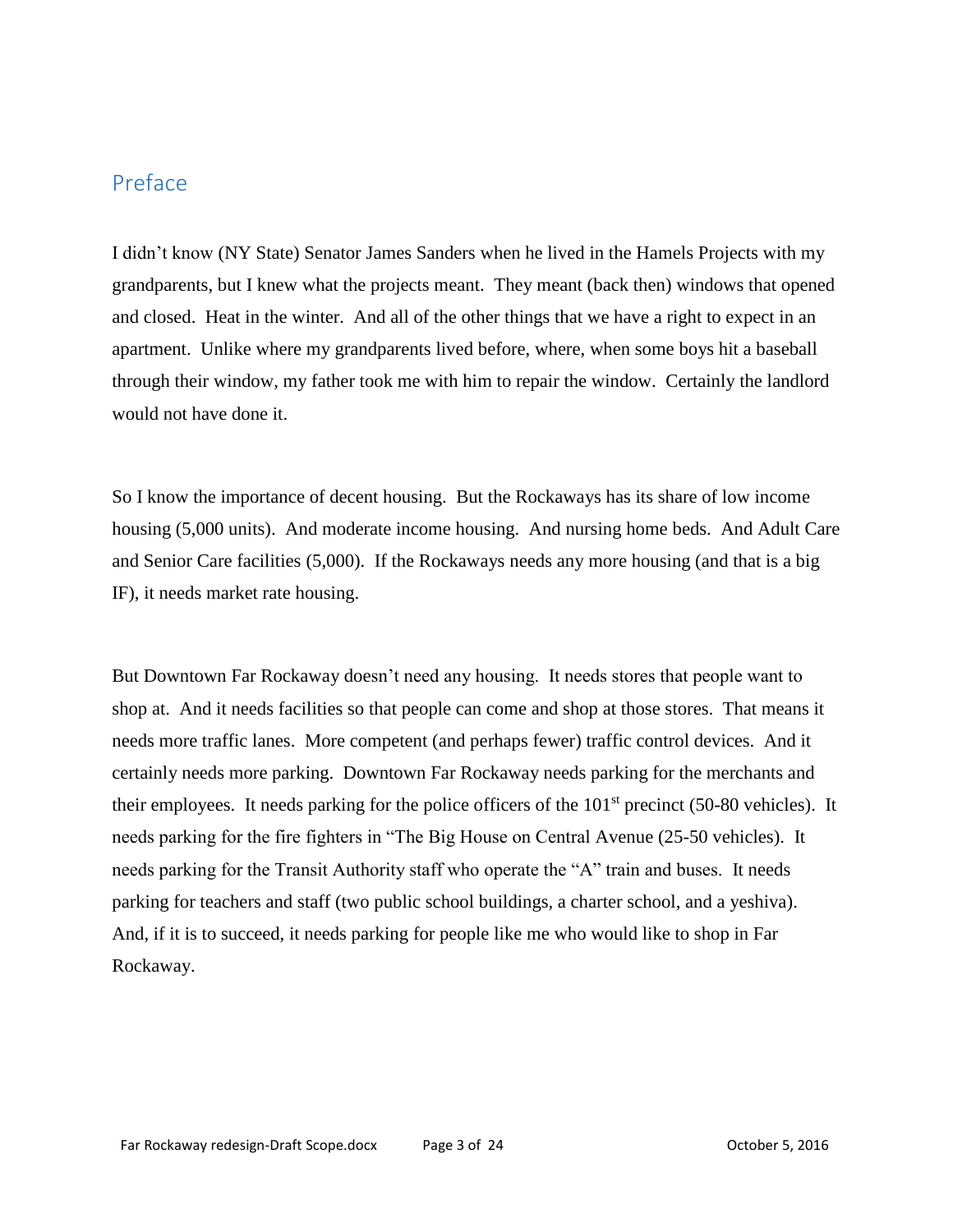### <span id="page-2-0"></span>Preface

I didn't know (NY State) Senator James Sanders when he lived in the Hamels Projects with my grandparents, but I knew what the projects meant. They meant (back then) windows that opened and closed. Heat in the winter. And all of the other things that we have a right to expect in an apartment. Unlike where my grandparents lived before, where, when some boys hit a baseball through their window, my father took me with him to repair the window. Certainly the landlord would not have done it.

So I know the importance of decent housing. But the Rockaways has its share of low income housing (5,000 units). And moderate income housing. And nursing home beds. And Adult Care and Senior Care facilities (5,000). If the Rockaways needs any more housing (and that is a big IF), it needs market rate housing.

But Downtown Far Rockaway doesn't need any housing. It needs stores that people want to shop at. And it needs facilities so that people can come and shop at those stores. That means it needs more traffic lanes. More competent (and perhaps fewer) traffic control devices. And it certainly needs more parking. Downtown Far Rockaway needs parking for the merchants and their employees. It needs parking for the police officers of the  $101<sup>st</sup>$  precinct (50-80 vehicles). It needs parking for the fire fighters in "The Big House on Central Avenue (25-50 vehicles). It needs parking for the Transit Authority staff who operate the "A" train and buses. It needs parking for teachers and staff (two public school buildings, a charter school, and a yeshiva). And, if it is to succeed, it needs parking for people like me who would like to shop in Far Rockaway.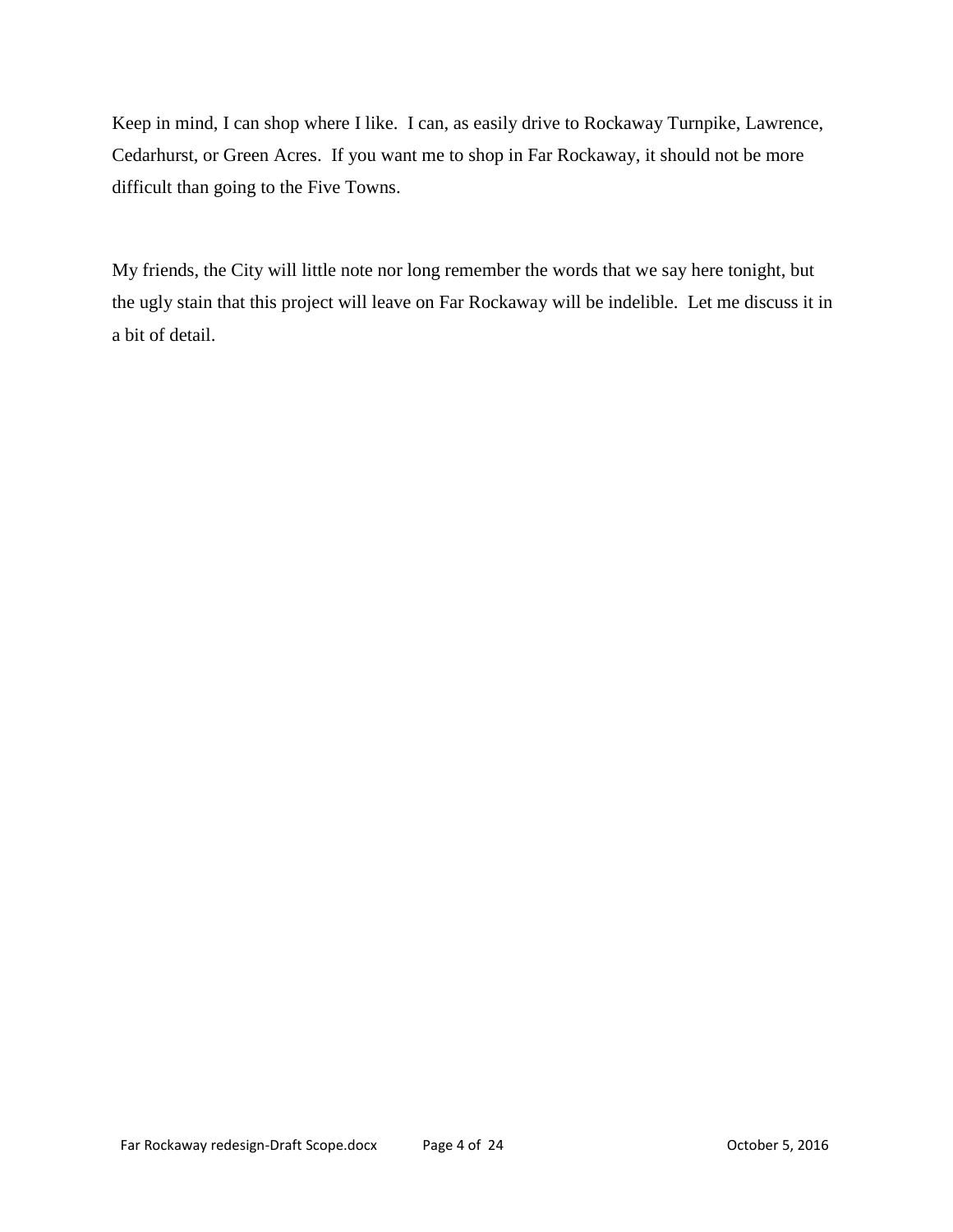Keep in mind, I can shop where I like. I can, as easily drive to Rockaway Turnpike, Lawrence, Cedarhurst, or Green Acres. If you want me to shop in Far Rockaway, it should not be more difficult than going to the Five Towns.

My friends, the City will little note nor long remember the words that we say here tonight, but the ugly stain that this project will leave on Far Rockaway will be indelible. Let me discuss it in a bit of detail.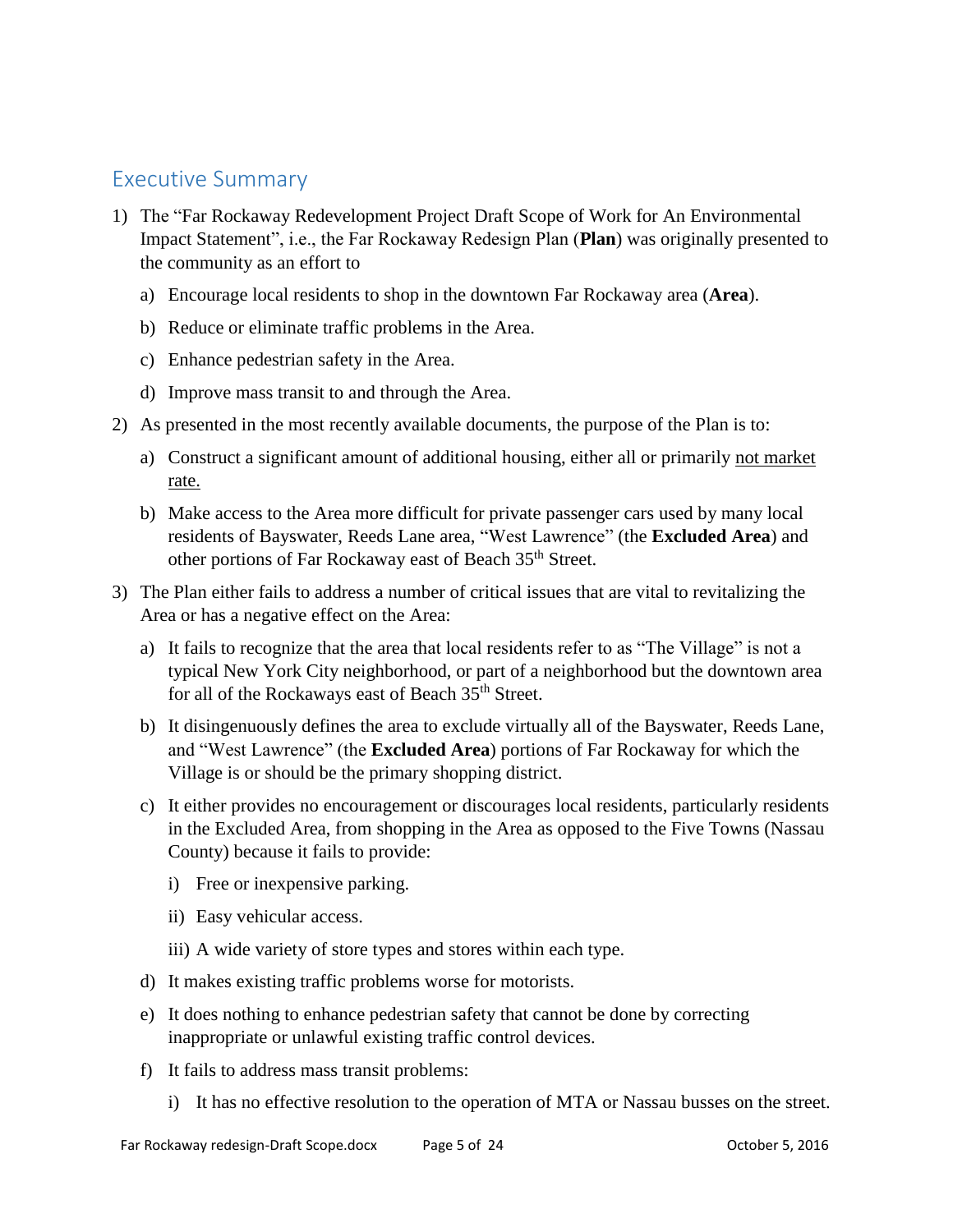## <span id="page-4-0"></span>Executive Summary

- 1) The "Far Rockaway Redevelopment Project Draft Scope of Work for An Environmental Impact Statement", i.e., the Far Rockaway Redesign Plan (**Plan**) was originally presented to the community as an effort to
	- a) Encourage local residents to shop in the downtown Far Rockaway area (**Area**).
	- b) Reduce or eliminate traffic problems in the Area.
	- c) Enhance pedestrian safety in the Area.
	- d) Improve mass transit to and through the Area.
- 2) As presented in the most recently available documents, the purpose of the Plan is to:
	- a) Construct a significant amount of additional housing, either all or primarily not market rate.
	- b) Make access to the Area more difficult for private passenger cars used by many local residents of Bayswater, Reeds Lane area, "West Lawrence" (the **Excluded Area**) and other portions of Far Rockaway east of Beach 35<sup>th</sup> Street.
- 3) The Plan either fails to address a number of critical issues that are vital to revitalizing the Area or has a negative effect on the Area:
	- a) It fails to recognize that the area that local residents refer to as "The Village" is not a typical New York City neighborhood, or part of a neighborhood but the downtown area for all of the Rockaways east of Beach 35<sup>th</sup> Street.
	- b) It disingenuously defines the area to exclude virtually all of the Bayswater, Reeds Lane, and "West Lawrence" (the **Excluded Area**) portions of Far Rockaway for which the Village is or should be the primary shopping district.
	- c) It either provides no encouragement or discourages local residents, particularly residents in the Excluded Area, from shopping in the Area as opposed to the Five Towns (Nassau County) because it fails to provide:
		- i) Free or inexpensive parking.
		- ii) Easy vehicular access.
		- iii) A wide variety of store types and stores within each type.
	- d) It makes existing traffic problems worse for motorists.
	- e) It does nothing to enhance pedestrian safety that cannot be done by correcting inappropriate or unlawful existing traffic control devices.
	- f) It fails to address mass transit problems:
		- i) It has no effective resolution to the operation of MTA or Nassau busses on the street.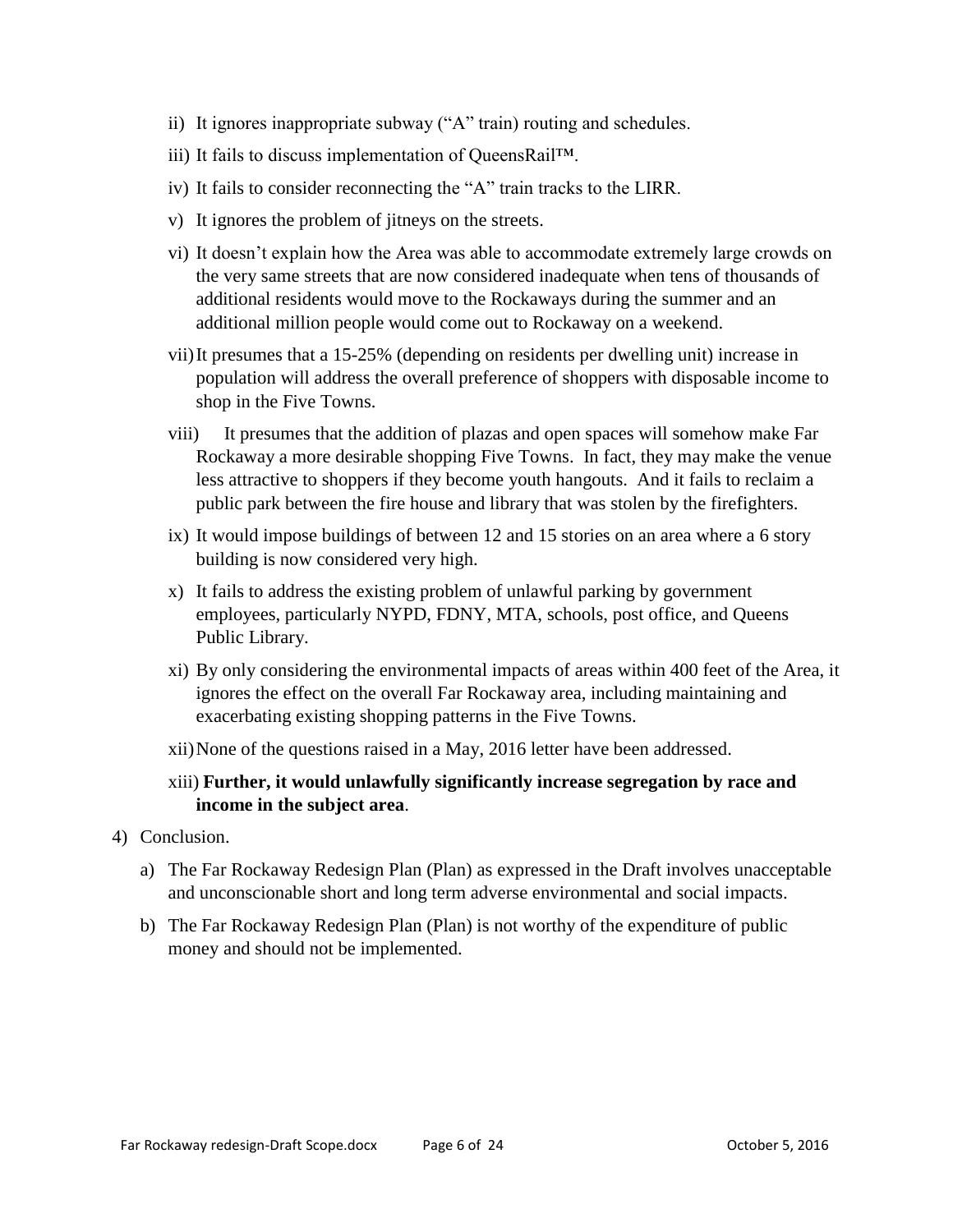- ii) It ignores inappropriate subway ("A" train) routing and schedules.
- iii) It fails to discuss implementation of QueensRail™.
- iv) It fails to consider reconnecting the "A" train tracks to the LIRR.
- v) It ignores the problem of jitneys on the streets.
- vi) It doesn't explain how the Area was able to accommodate extremely large crowds on the very same streets that are now considered inadequate when tens of thousands of additional residents would move to the Rockaways during the summer and an additional million people would come out to Rockaway on a weekend.
- vii)It presumes that a 15-25% (depending on residents per dwelling unit) increase in population will address the overall preference of shoppers with disposable income to shop in the Five Towns.
- viii) It presumes that the addition of plazas and open spaces will somehow make Far Rockaway a more desirable shopping Five Towns. In fact, they may make the venue less attractive to shoppers if they become youth hangouts. And it fails to reclaim a public park between the fire house and library that was stolen by the firefighters.
- ix) It would impose buildings of between 12 and 15 stories on an area where a 6 story building is now considered very high.
- x) It fails to address the existing problem of unlawful parking by government employees, particularly NYPD, FDNY, MTA, schools, post office, and Queens Public Library.
- xi) By only considering the environmental impacts of areas within 400 feet of the Area, it ignores the effect on the overall Far Rockaway area, including maintaining and exacerbating existing shopping patterns in the Five Towns.
- xii)None of the questions raised in a May, 2016 letter have been addressed.
- xiii) **Further, it would unlawfully significantly increase segregation by race and income in the subject area**.
- 4) Conclusion.
	- a) The Far Rockaway Redesign Plan (Plan) as expressed in the Draft involves unacceptable and unconscionable short and long term adverse environmental and social impacts.
	- b) The Far Rockaway Redesign Plan (Plan) is not worthy of the expenditure of public money and should not be implemented.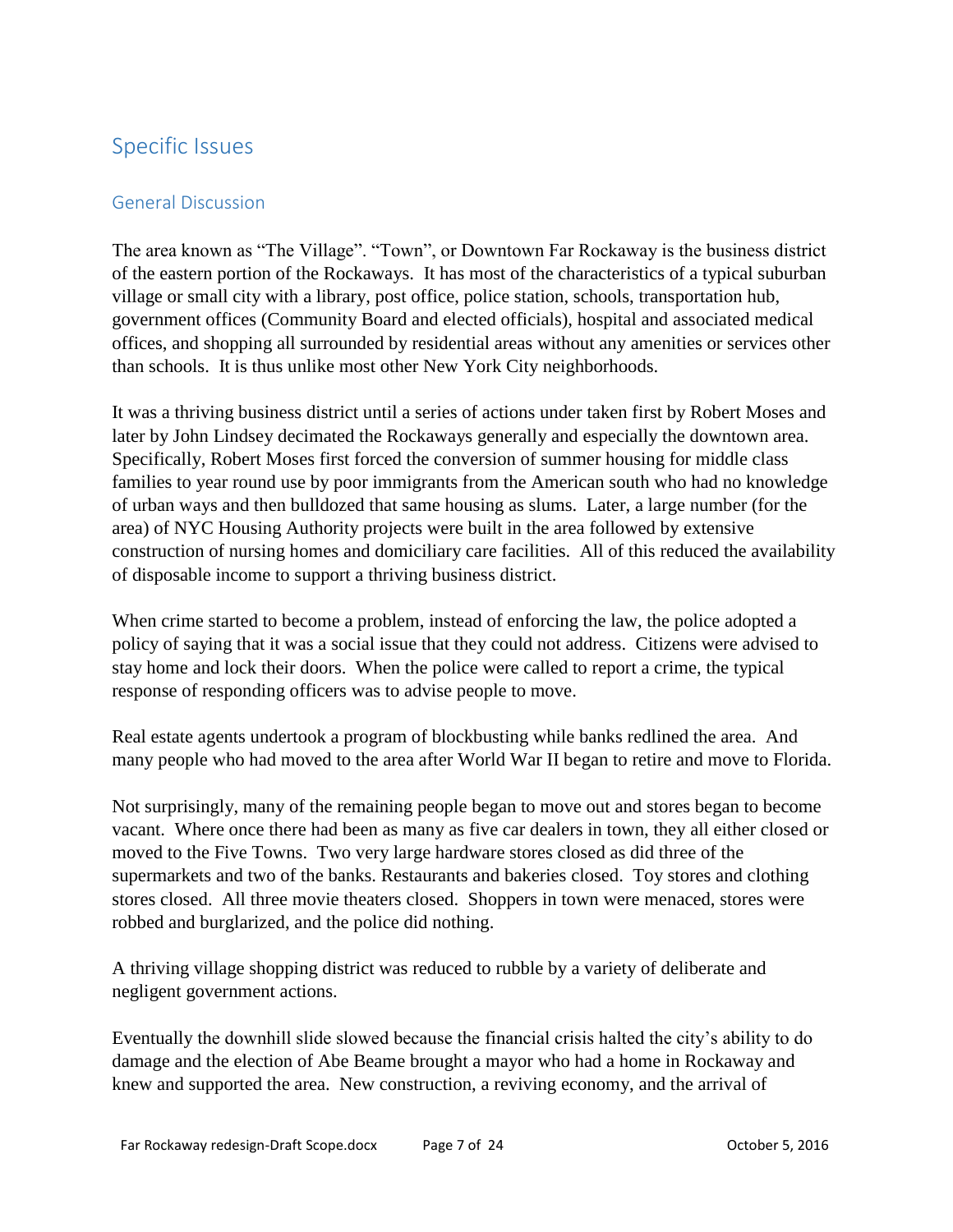# <span id="page-6-0"></span>Specific Issues

#### <span id="page-6-1"></span>General Discussion

The area known as "The Village". "Town", or Downtown Far Rockaway is the business district of the eastern portion of the Rockaways. It has most of the characteristics of a typical suburban village or small city with a library, post office, police station, schools, transportation hub, government offices (Community Board and elected officials), hospital and associated medical offices, and shopping all surrounded by residential areas without any amenities or services other than schools. It is thus unlike most other New York City neighborhoods.

It was a thriving business district until a series of actions under taken first by Robert Moses and later by John Lindsey decimated the Rockaways generally and especially the downtown area. Specifically, Robert Moses first forced the conversion of summer housing for middle class families to year round use by poor immigrants from the American south who had no knowledge of urban ways and then bulldozed that same housing as slums. Later, a large number (for the area) of NYC Housing Authority projects were built in the area followed by extensive construction of nursing homes and domiciliary care facilities. All of this reduced the availability of disposable income to support a thriving business district.

When crime started to become a problem, instead of enforcing the law, the police adopted a policy of saying that it was a social issue that they could not address. Citizens were advised to stay home and lock their doors. When the police were called to report a crime, the typical response of responding officers was to advise people to move.

Real estate agents undertook a program of blockbusting while banks redlined the area. And many people who had moved to the area after World War II began to retire and move to Florida.

Not surprisingly, many of the remaining people began to move out and stores began to become vacant. Where once there had been as many as five car dealers in town, they all either closed or moved to the Five Towns. Two very large hardware stores closed as did three of the supermarkets and two of the banks. Restaurants and bakeries closed. Toy stores and clothing stores closed. All three movie theaters closed. Shoppers in town were menaced, stores were robbed and burglarized, and the police did nothing.

A thriving village shopping district was reduced to rubble by a variety of deliberate and negligent government actions.

Eventually the downhill slide slowed because the financial crisis halted the city's ability to do damage and the election of Abe Beame brought a mayor who had a home in Rockaway and knew and supported the area. New construction, a reviving economy, and the arrival of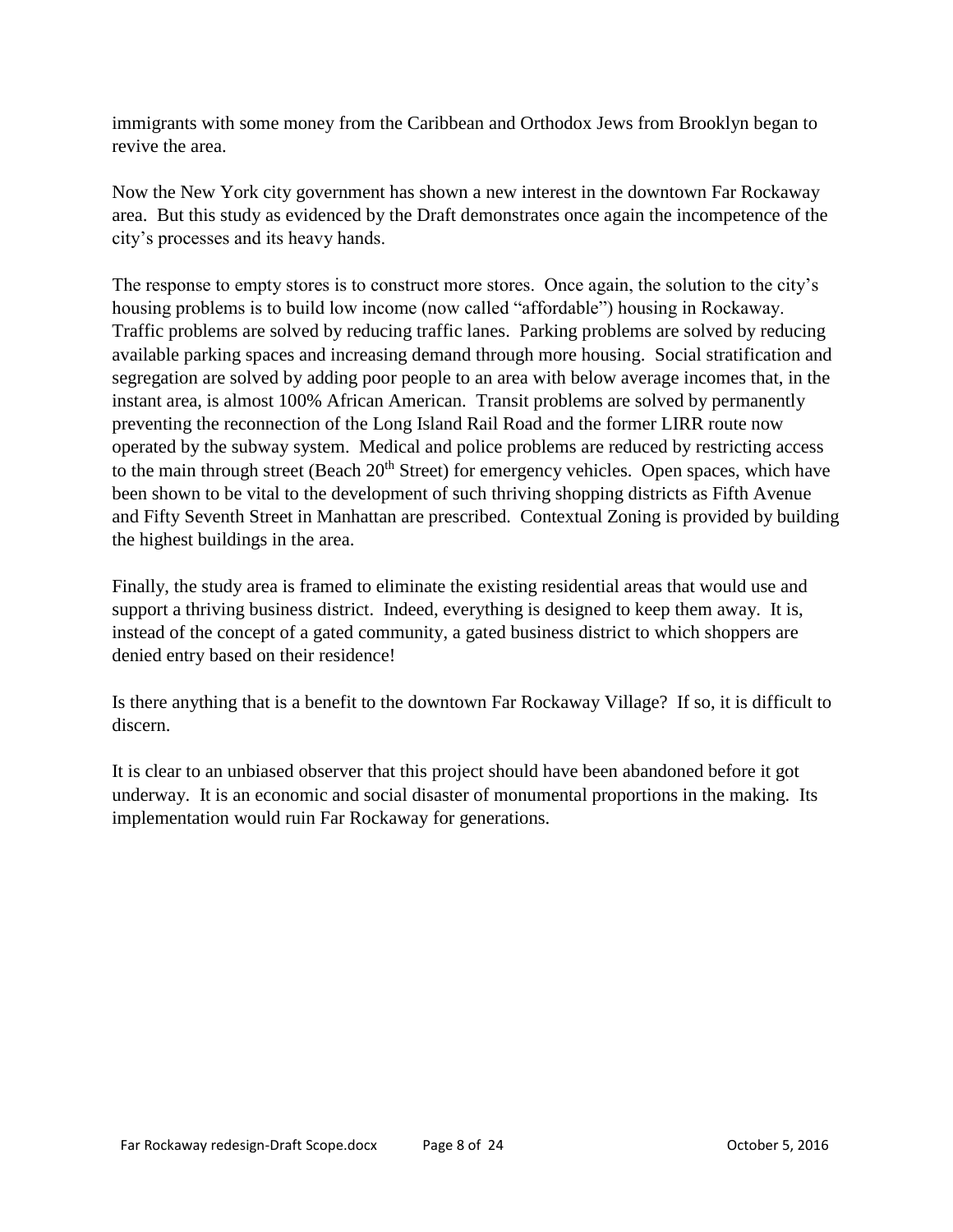immigrants with some money from the Caribbean and Orthodox Jews from Brooklyn began to revive the area.

Now the New York city government has shown a new interest in the downtown Far Rockaway area. But this study as evidenced by the Draft demonstrates once again the incompetence of the city's processes and its heavy hands.

The response to empty stores is to construct more stores. Once again, the solution to the city's housing problems is to build low income (now called "affordable") housing in Rockaway. Traffic problems are solved by reducing traffic lanes. Parking problems are solved by reducing available parking spaces and increasing demand through more housing. Social stratification and segregation are solved by adding poor people to an area with below average incomes that, in the instant area, is almost 100% African American. Transit problems are solved by permanently preventing the reconnection of the Long Island Rail Road and the former LIRR route now operated by the subway system. Medical and police problems are reduced by restricting access to the main through street (Beach  $20<sup>th</sup>$  Street) for emergency vehicles. Open spaces, which have been shown to be vital to the development of such thriving shopping districts as Fifth Avenue and Fifty Seventh Street in Manhattan are prescribed. Contextual Zoning is provided by building the highest buildings in the area.

Finally, the study area is framed to eliminate the existing residential areas that would use and support a thriving business district. Indeed, everything is designed to keep them away. It is, instead of the concept of a gated community, a gated business district to which shoppers are denied entry based on their residence!

Is there anything that is a benefit to the downtown Far Rockaway Village? If so, it is difficult to discern.

It is clear to an unbiased observer that this project should have been abandoned before it got underway. It is an economic and social disaster of monumental proportions in the making. Its implementation would ruin Far Rockaway for generations.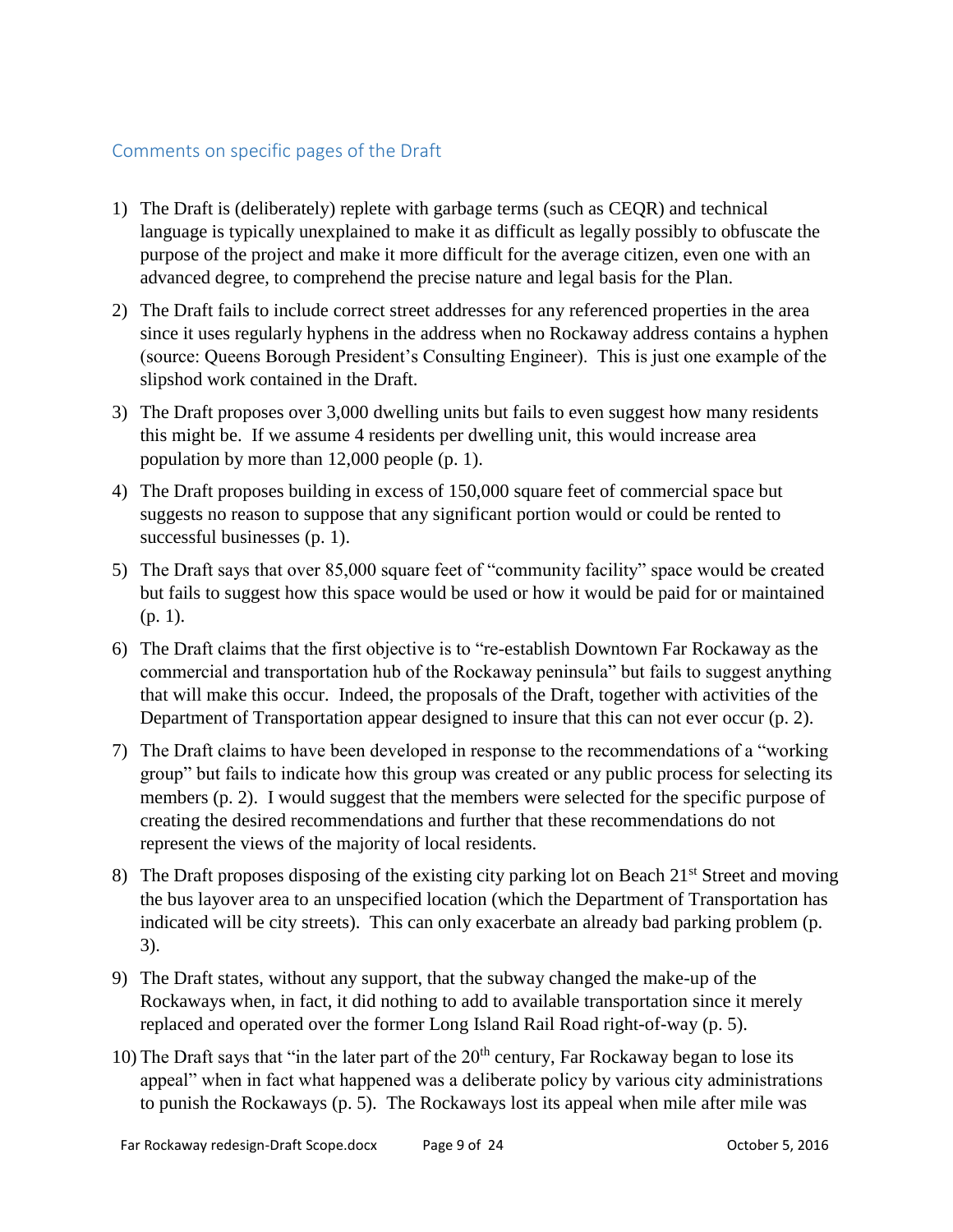#### <span id="page-8-0"></span>Comments on specific pages of the Draft

- 1) The Draft is (deliberately) replete with garbage terms (such as CEQR) and technical language is typically unexplained to make it as difficult as legally possibly to obfuscate the purpose of the project and make it more difficult for the average citizen, even one with an advanced degree, to comprehend the precise nature and legal basis for the Plan.
- 2) The Draft fails to include correct street addresses for any referenced properties in the area since it uses regularly hyphens in the address when no Rockaway address contains a hyphen (source: Queens Borough President's Consulting Engineer). This is just one example of the slipshod work contained in the Draft.
- 3) The Draft proposes over 3,000 dwelling units but fails to even suggest how many residents this might be. If we assume 4 residents per dwelling unit, this would increase area population by more than 12,000 people (p. 1).
- 4) The Draft proposes building in excess of 150,000 square feet of commercial space but suggests no reason to suppose that any significant portion would or could be rented to successful businesses (p. 1).
- 5) The Draft says that over 85,000 square feet of "community facility" space would be created but fails to suggest how this space would be used or how it would be paid for or maintained (p. 1).
- 6) The Draft claims that the first objective is to "re-establish Downtown Far Rockaway as the commercial and transportation hub of the Rockaway peninsula" but fails to suggest anything that will make this occur. Indeed, the proposals of the Draft, together with activities of the Department of Transportation appear designed to insure that this can not ever occur (p. 2).
- 7) The Draft claims to have been developed in response to the recommendations of a "working group" but fails to indicate how this group was created or any public process for selecting its members (p. 2). I would suggest that the members were selected for the specific purpose of creating the desired recommendations and further that these recommendations do not represent the views of the majority of local residents.
- 8) The Draft proposes disposing of the existing city parking lot on Beach 21<sup>st</sup> Street and moving the bus layover area to an unspecified location (which the Department of Transportation has indicated will be city streets). This can only exacerbate an already bad parking problem (p. 3).
- 9) The Draft states, without any support, that the subway changed the make-up of the Rockaways when, in fact, it did nothing to add to available transportation since it merely replaced and operated over the former Long Island Rail Road right-of-way (p. 5).
- 10) The Draft says that "in the later part of the  $20<sup>th</sup>$  century, Far Rockaway began to lose its appeal" when in fact what happened was a deliberate policy by various city administrations to punish the Rockaways (p. 5). The Rockaways lost its appeal when mile after mile was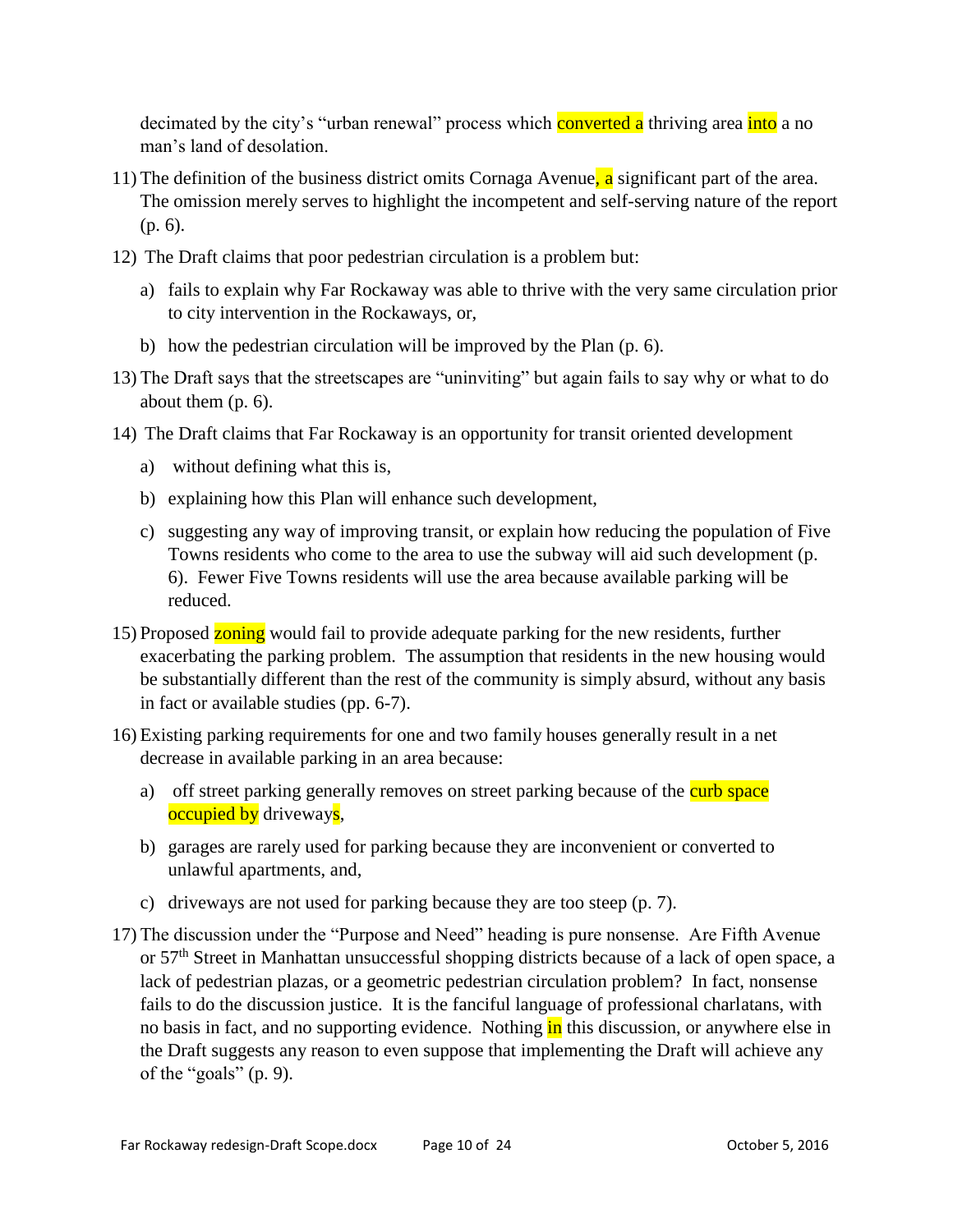decimated by the city's "urban renewal" process which **converted a** thriving area into a no man's land of desolation.

- 11) The definition of the business district omits Cornaga Avenue, a significant part of the area. The omission merely serves to highlight the incompetent and self-serving nature of the report (p. 6).
- 12) The Draft claims that poor pedestrian circulation is a problem but:
	- a) fails to explain why Far Rockaway was able to thrive with the very same circulation prior to city intervention in the Rockaways, or,
	- b) how the pedestrian circulation will be improved by the Plan (p. 6).
- 13) The Draft says that the streetscapes are "uninviting" but again fails to say why or what to do about them (p. 6).
- 14) The Draft claims that Far Rockaway is an opportunity for transit oriented development
	- a) without defining what this is,
	- b) explaining how this Plan will enhance such development,
	- c) suggesting any way of improving transit, or explain how reducing the population of Five Towns residents who come to the area to use the subway will aid such development (p. 6). Fewer Five Towns residents will use the area because available parking will be reduced.
- 15) Proposed zoning would fail to provide adequate parking for the new residents, further exacerbating the parking problem. The assumption that residents in the new housing would be substantially different than the rest of the community is simply absurd, without any basis in fact or available studies (pp. 6-7).
- 16) Existing parking requirements for one and two family houses generally result in a net decrease in available parking in an area because:
	- a) off street parking generally removes on street parking because of the curb space occupied by driveways,
	- b) garages are rarely used for parking because they are inconvenient or converted to unlawful apartments, and,
	- c) driveways are not used for parking because they are too steep (p. 7).
- 17) The discussion under the "Purpose and Need" heading is pure nonsense. Are Fifth Avenue or 57<sup>th</sup> Street in Manhattan unsuccessful shopping districts because of a lack of open space, a lack of pedestrian plazas, or a geometric pedestrian circulation problem? In fact, nonsense fails to do the discussion justice. It is the fanciful language of professional charlatans, with no basis in fact, and no supporting evidence. Nothing in this discussion, or anywhere else in the Draft suggests any reason to even suppose that implementing the Draft will achieve any of the "goals" (p. 9).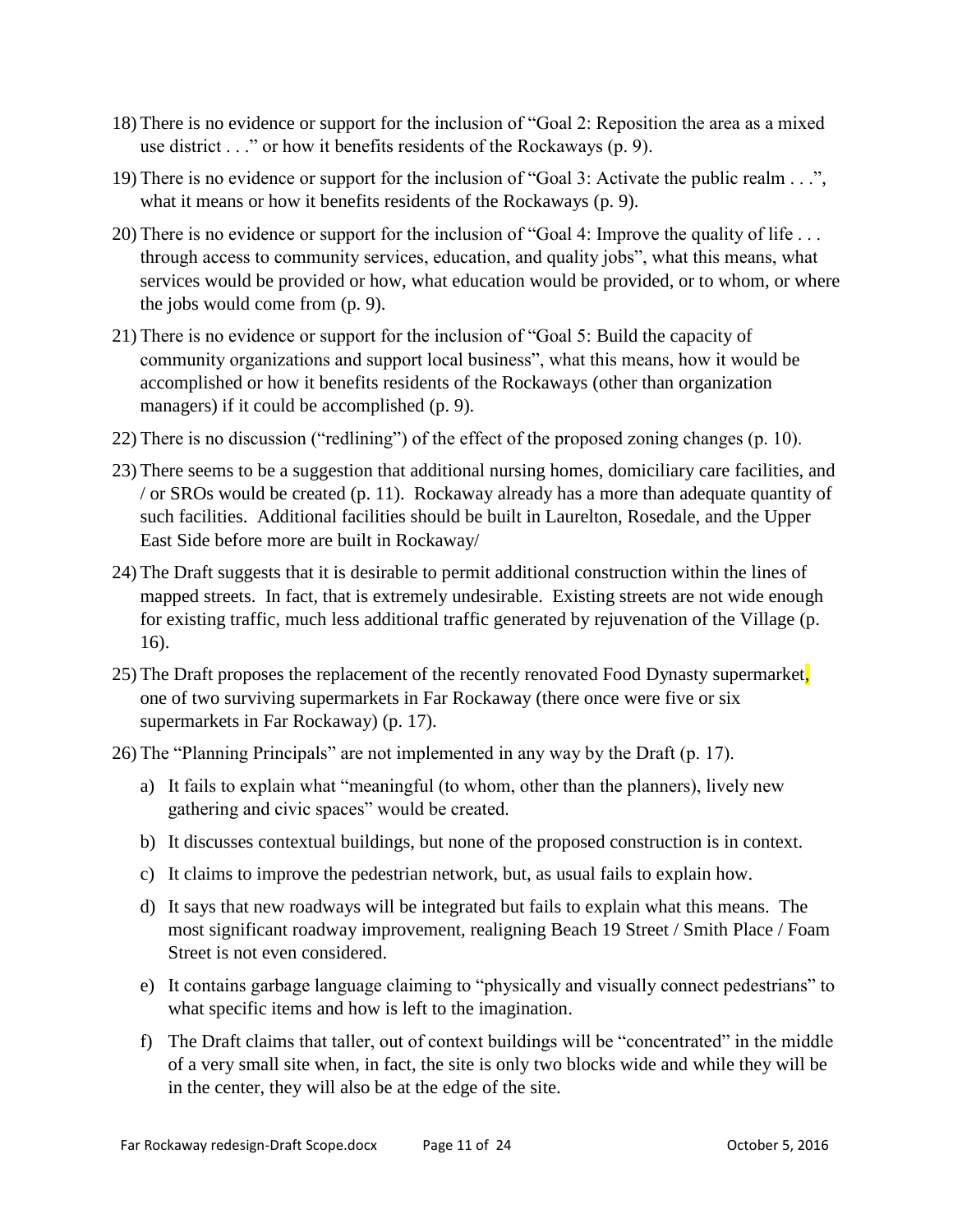- 18) There is no evidence or support for the inclusion of "Goal 2: Reposition the area as a mixed use district . . ." or how it benefits residents of the Rockaways (p. 9).
- 19) There is no evidence or support for the inclusion of "Goal 3: Activate the public realm . . .", what it means or how it benefits residents of the Rockaways (p. 9).
- 20) There is no evidence or support for the inclusion of "Goal 4: Improve the quality of life . . . through access to community services, education, and quality jobs", what this means, what services would be provided or how, what education would be provided, or to whom, or where the jobs would come from (p. 9).
- 21) There is no evidence or support for the inclusion of "Goal 5: Build the capacity of community organizations and support local business", what this means, how it would be accomplished or how it benefits residents of the Rockaways (other than organization managers) if it could be accomplished (p. 9).
- 22) There is no discussion ("redlining") of the effect of the proposed zoning changes (p. 10).
- 23) There seems to be a suggestion that additional nursing homes, domiciliary care facilities, and / or SROs would be created (p. 11). Rockaway already has a more than adequate quantity of such facilities. Additional facilities should be built in Laurelton, Rosedale, and the Upper East Side before more are built in Rockaway/
- 24) The Draft suggests that it is desirable to permit additional construction within the lines of mapped streets. In fact, that is extremely undesirable. Existing streets are not wide enough for existing traffic, much less additional traffic generated by rejuvenation of the Village (p. 16).
- 25) The Draft proposes the replacement of the recently renovated Food Dynasty supermarket, one of two surviving supermarkets in Far Rockaway (there once were five or six supermarkets in Far Rockaway) (p. 17).
- 26) The "Planning Principals" are not implemented in any way by the Draft (p. 17).
	- a) It fails to explain what "meaningful (to whom, other than the planners), lively new gathering and civic spaces" would be created.
	- b) It discusses contextual buildings, but none of the proposed construction is in context.
	- c) It claims to improve the pedestrian network, but, as usual fails to explain how.
	- d) It says that new roadways will be integrated but fails to explain what this means. The most significant roadway improvement, realigning Beach 19 Street / Smith Place / Foam Street is not even considered.
	- e) It contains garbage language claiming to "physically and visually connect pedestrians" to what specific items and how is left to the imagination.
	- f) The Draft claims that taller, out of context buildings will be "concentrated" in the middle of a very small site when, in fact, the site is only two blocks wide and while they will be in the center, they will also be at the edge of the site.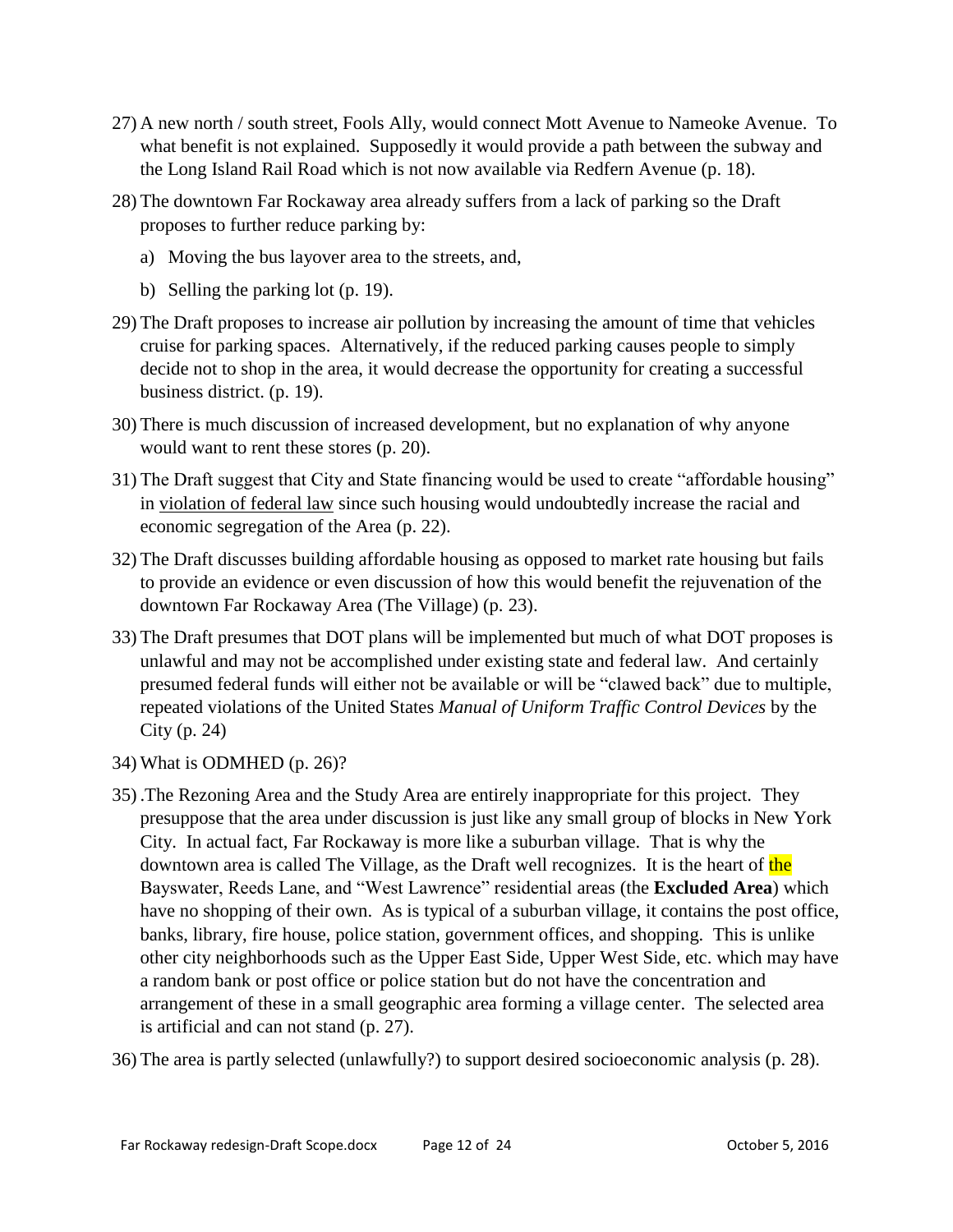- 27) A new north / south street, Fools Ally, would connect Mott Avenue to Nameoke Avenue. To what benefit is not explained. Supposedly it would provide a path between the subway and the Long Island Rail Road which is not now available via Redfern Avenue (p. 18).
- 28) The downtown Far Rockaway area already suffers from a lack of parking so the Draft proposes to further reduce parking by:
	- a) Moving the bus layover area to the streets, and,
	- b) Selling the parking lot (p. 19).
- 29) The Draft proposes to increase air pollution by increasing the amount of time that vehicles cruise for parking spaces. Alternatively, if the reduced parking causes people to simply decide not to shop in the area, it would decrease the opportunity for creating a successful business district. (p. 19).
- 30) There is much discussion of increased development, but no explanation of why anyone would want to rent these stores (p. 20).
- 31) The Draft suggest that City and State financing would be used to create "affordable housing" in violation of federal law since such housing would undoubtedly increase the racial and economic segregation of the Area (p. 22).
- 32) The Draft discusses building affordable housing as opposed to market rate housing but fails to provide an evidence or even discussion of how this would benefit the rejuvenation of the downtown Far Rockaway Area (The Village) (p. 23).
- 33) The Draft presumes that DOT plans will be implemented but much of what DOT proposes is unlawful and may not be accomplished under existing state and federal law. And certainly presumed federal funds will either not be available or will be "clawed back" due to multiple, repeated violations of the United States *Manual of Uniform Traffic Control Devices* by the City (p. 24)
- 34) What is ODMHED (p. 26)?
- 35) .The Rezoning Area and the Study Area are entirely inappropriate for this project. They presuppose that the area under discussion is just like any small group of blocks in New York City. In actual fact, Far Rockaway is more like a suburban village. That is why the downtown area is called The Village, as the Draft well recognizes. It is the heart of the Bayswater, Reeds Lane, and "West Lawrence" residential areas (the **Excluded Area**) which have no shopping of their own. As is typical of a suburban village, it contains the post office, banks, library, fire house, police station, government offices, and shopping. This is unlike other city neighborhoods such as the Upper East Side, Upper West Side, etc. which may have a random bank or post office or police station but do not have the concentration and arrangement of these in a small geographic area forming a village center. The selected area is artificial and can not stand (p. 27).

36) The area is partly selected (unlawfully?) to support desired socioeconomic analysis (p. 28).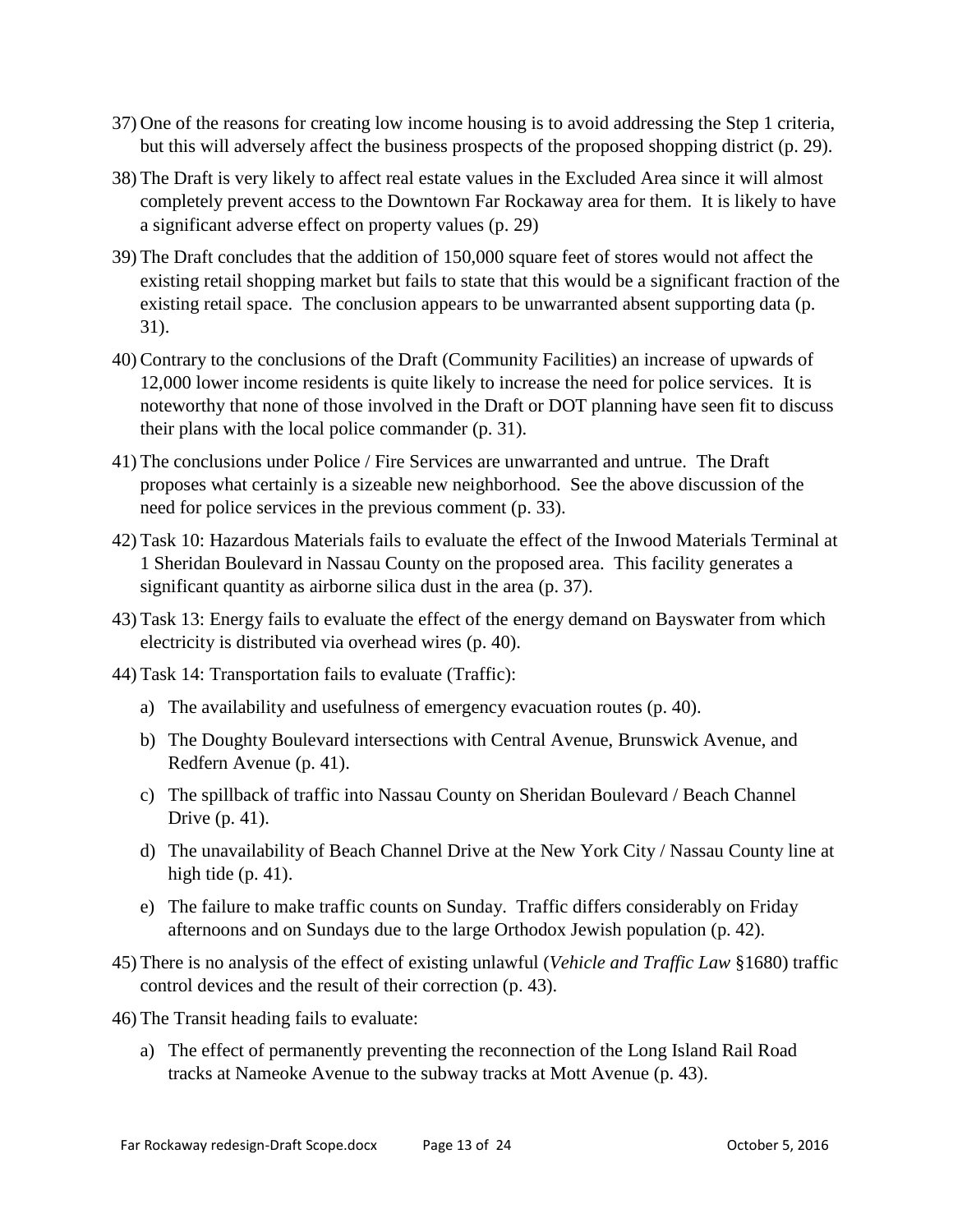- 37) One of the reasons for creating low income housing is to avoid addressing the Step 1 criteria, but this will adversely affect the business prospects of the proposed shopping district (p. 29).
- 38) The Draft is very likely to affect real estate values in the Excluded Area since it will almost completely prevent access to the Downtown Far Rockaway area for them. It is likely to have a significant adverse effect on property values (p. 29)
- 39) The Draft concludes that the addition of 150,000 square feet of stores would not affect the existing retail shopping market but fails to state that this would be a significant fraction of the existing retail space. The conclusion appears to be unwarranted absent supporting data (p. 31).
- 40) Contrary to the conclusions of the Draft (Community Facilities) an increase of upwards of 12,000 lower income residents is quite likely to increase the need for police services. It is noteworthy that none of those involved in the Draft or DOT planning have seen fit to discuss their plans with the local police commander (p. 31).
- 41) The conclusions under Police / Fire Services are unwarranted and untrue. The Draft proposes what certainly is a sizeable new neighborhood. See the above discussion of the need for police services in the previous comment (p. 33).
- 42) Task 10: Hazardous Materials fails to evaluate the effect of the Inwood Materials Terminal at 1 Sheridan Boulevard in Nassau County on the proposed area. This facility generates a significant quantity as airborne silica dust in the area (p. 37).
- 43) Task 13: Energy fails to evaluate the effect of the energy demand on Bayswater from which electricity is distributed via overhead wires (p. 40).
- 44) Task 14: Transportation fails to evaluate (Traffic):
	- a) The availability and usefulness of emergency evacuation routes (p. 40).
	- b) The Doughty Boulevard intersections with Central Avenue, Brunswick Avenue, and Redfern Avenue (p. 41).
	- c) The spillback of traffic into Nassau County on Sheridan Boulevard / Beach Channel Drive (p. 41).
	- d) The unavailability of Beach Channel Drive at the New York City / Nassau County line at high tide (p. 41).
	- e) The failure to make traffic counts on Sunday. Traffic differs considerably on Friday afternoons and on Sundays due to the large Orthodox Jewish population (p. 42).
- 45) There is no analysis of the effect of existing unlawful (*Vehicle and Traffic Law* §1680) traffic control devices and the result of their correction (p. 43).
- 46) The Transit heading fails to evaluate:
	- a) The effect of permanently preventing the reconnection of the Long Island Rail Road tracks at Nameoke Avenue to the subway tracks at Mott Avenue (p. 43).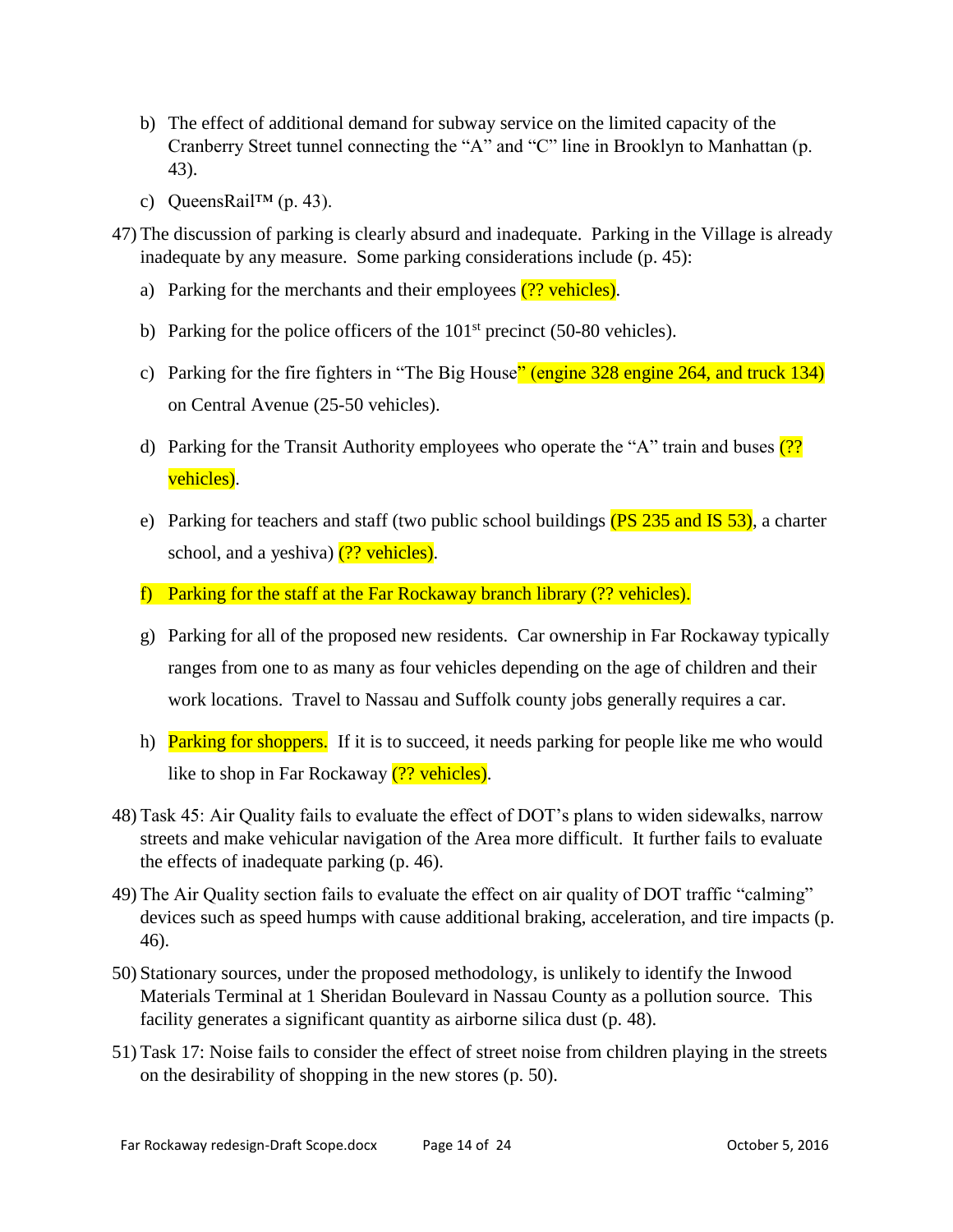- b) The effect of additional demand for subway service on the limited capacity of the Cranberry Street tunnel connecting the "A" and "C" line in Brooklyn to Manhattan (p. 43).
- c) QueensRail™ (p. 43).
- 47) The discussion of parking is clearly absurd and inadequate. Parking in the Village is already inadequate by any measure. Some parking considerations include (p. 45):
	- a) Parking for the merchants and their employees  $(?)$  vehicles).
	- b) Parking for the police officers of the  $101<sup>st</sup>$  precinct (50-80 vehicles).
	- c) Parking for the fire fighters in "The Big House" (engine 328 engine 264, and truck 134) on Central Avenue (25-50 vehicles).
	- d) Parking for the Transit Authority employees who operate the "A" train and buses  $(2)$ ? vehicles).
	- e) Parking for teachers and staff (two public school buildings  $(PS\ 235$  and IS 53), a charter school, and a yeshiva)  $(?)$  vehicles).
	- f) Parking for the staff at the Far Rockaway branch library (?? vehicles).
	- g) Parking for all of the proposed new residents. Car ownership in Far Rockaway typically ranges from one to as many as four vehicles depending on the age of children and their work locations. Travel to Nassau and Suffolk county jobs generally requires a car.
	- h) **Parking for shoppers.** If it is to succeed, it needs parking for people like me who would like to shop in Far Rockaway (?? vehicles).
- 48) Task 45: Air Quality fails to evaluate the effect of DOT's plans to widen sidewalks, narrow streets and make vehicular navigation of the Area more difficult. It further fails to evaluate the effects of inadequate parking (p. 46).
- 49) The Air Quality section fails to evaluate the effect on air quality of DOT traffic "calming" devices such as speed humps with cause additional braking, acceleration, and tire impacts (p. 46).
- 50) Stationary sources, under the proposed methodology, is unlikely to identify the Inwood Materials Terminal at 1 Sheridan Boulevard in Nassau County as a pollution source. This facility generates a significant quantity as airborne silica dust (p. 48).
- 51) Task 17: Noise fails to consider the effect of street noise from children playing in the streets on the desirability of shopping in the new stores (p. 50).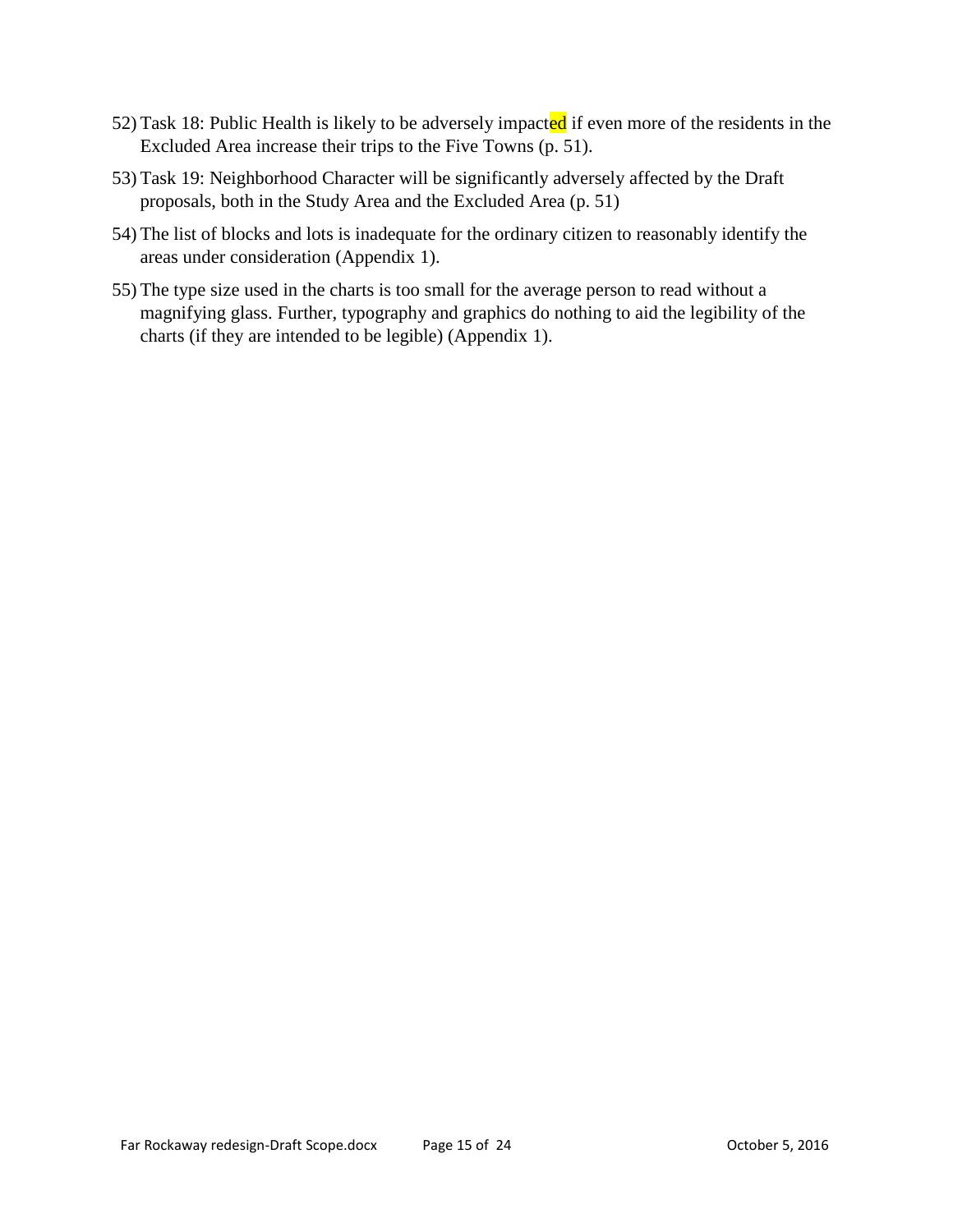- 52) Task 18: Public Health is likely to be adversely impacted if even more of the residents in the Excluded Area increase their trips to the Five Towns (p. 51).
- 53) Task 19: Neighborhood Character will be significantly adversely affected by the Draft proposals, both in the Study Area and the Excluded Area (p. 51)
- 54) The list of blocks and lots is inadequate for the ordinary citizen to reasonably identify the areas under consideration (Appendix 1).
- 55) The type size used in the charts is too small for the average person to read without a magnifying glass. Further, typography and graphics do nothing to aid the legibility of the charts (if they are intended to be legible) (Appendix 1).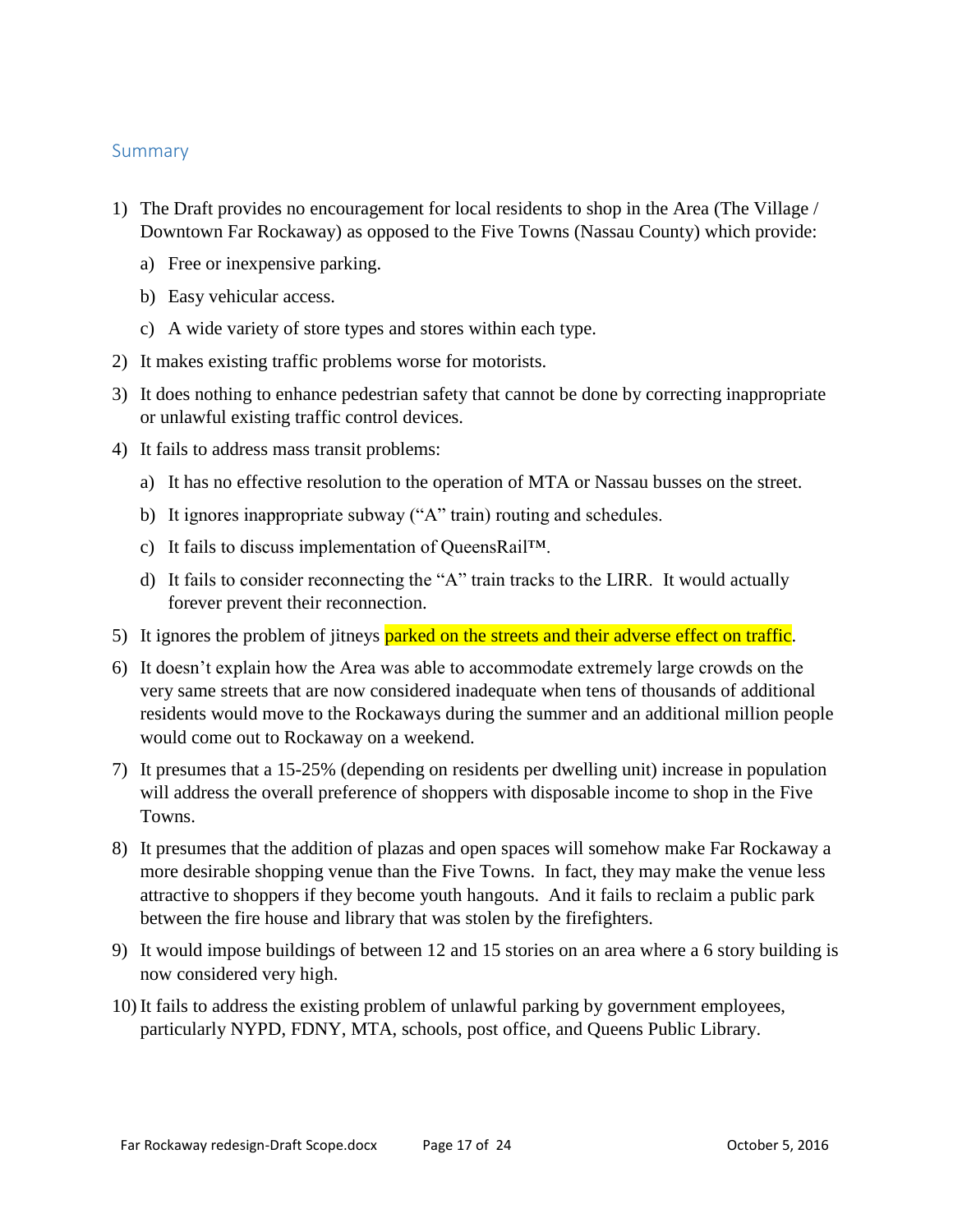#### <span id="page-16-0"></span>Summary

- 1) The Draft provides no encouragement for local residents to shop in the Area (The Village / Downtown Far Rockaway) as opposed to the Five Towns (Nassau County) which provide:
	- a) Free or inexpensive parking.
	- b) Easy vehicular access.
	- c) A wide variety of store types and stores within each type.
- 2) It makes existing traffic problems worse for motorists.
- 3) It does nothing to enhance pedestrian safety that cannot be done by correcting inappropriate or unlawful existing traffic control devices.
- 4) It fails to address mass transit problems:
	- a) It has no effective resolution to the operation of MTA or Nassau busses on the street.
	- b) It ignores inappropriate subway ("A" train) routing and schedules.
	- c) It fails to discuss implementation of QueensRail™.
	- d) It fails to consider reconnecting the "A" train tracks to the LIRR. It would actually forever prevent their reconnection.
- 5) It ignores the problem of jitneys parked on the streets and their adverse effect on traffic.
- 6) It doesn't explain how the Area was able to accommodate extremely large crowds on the very same streets that are now considered inadequate when tens of thousands of additional residents would move to the Rockaways during the summer and an additional million people would come out to Rockaway on a weekend.
- 7) It presumes that a 15-25% (depending on residents per dwelling unit) increase in population will address the overall preference of shoppers with disposable income to shop in the Five Towns.
- 8) It presumes that the addition of plazas and open spaces will somehow make Far Rockaway a more desirable shopping venue than the Five Towns. In fact, they may make the venue less attractive to shoppers if they become youth hangouts. And it fails to reclaim a public park between the fire house and library that was stolen by the firefighters.
- 9) It would impose buildings of between 12 and 15 stories on an area where a 6 story building is now considered very high.
- 10) It fails to address the existing problem of unlawful parking by government employees, particularly NYPD, FDNY, MTA, schools, post office, and Queens Public Library.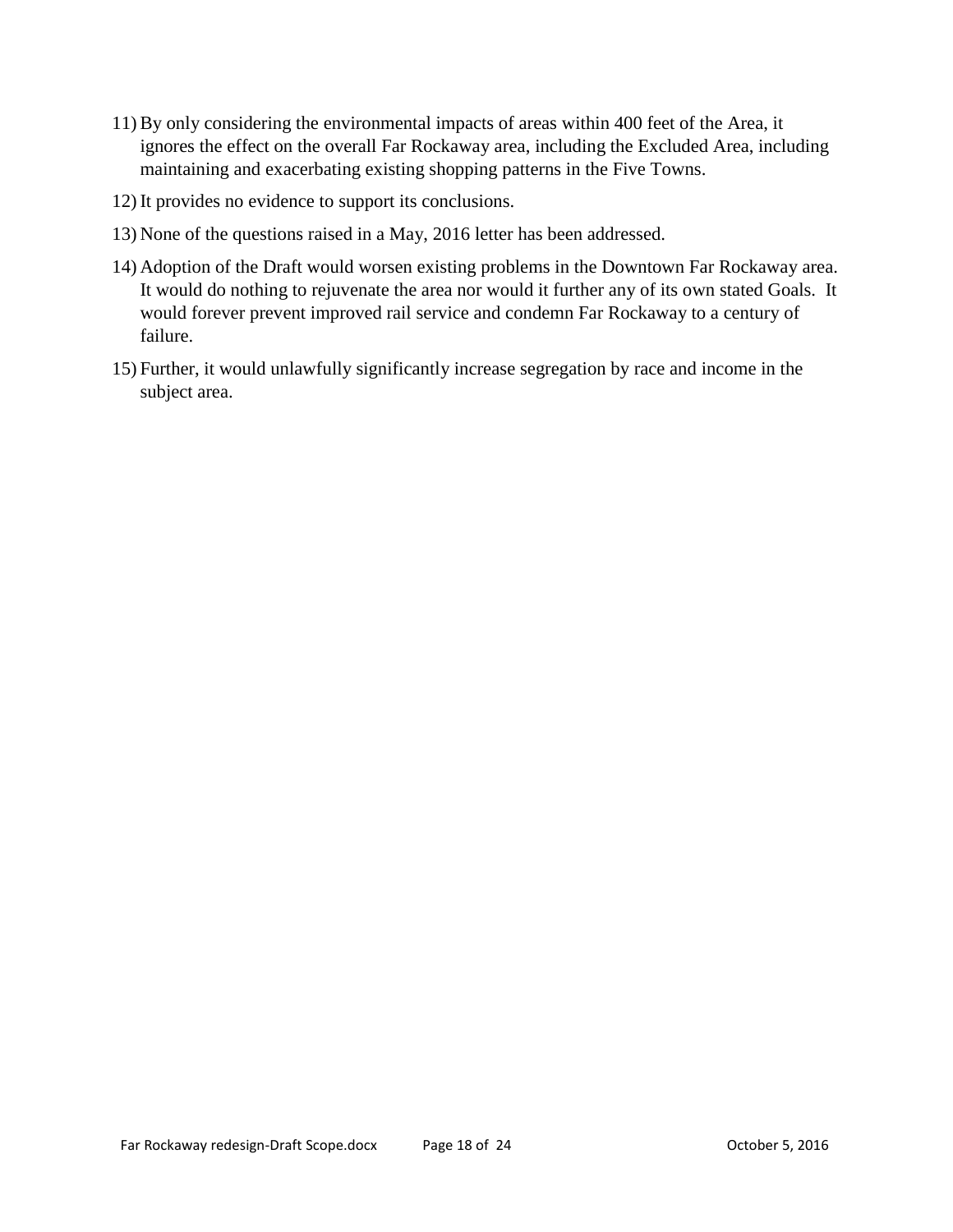- 11) By only considering the environmental impacts of areas within 400 feet of the Area, it ignores the effect on the overall Far Rockaway area, including the Excluded Area, including maintaining and exacerbating existing shopping patterns in the Five Towns.
- 12) It provides no evidence to support its conclusions.
- 13) None of the questions raised in a May, 2016 letter has been addressed.
- 14) Adoption of the Draft would worsen existing problems in the Downtown Far Rockaway area. It would do nothing to rejuvenate the area nor would it further any of its own stated Goals. It would forever prevent improved rail service and condemn Far Rockaway to a century of failure.
- 15) Further, it would unlawfully significantly increase segregation by race and income in the subject area.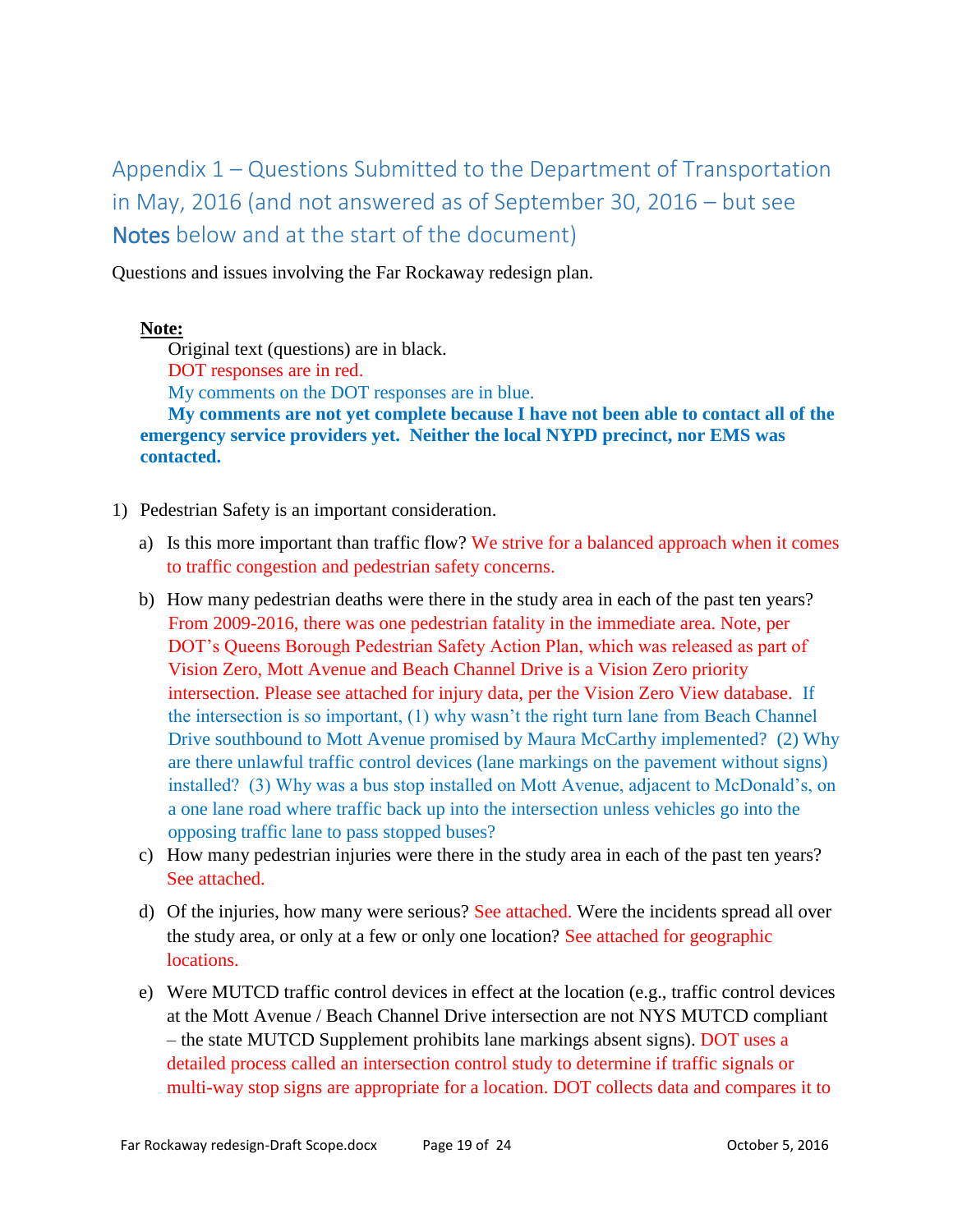# <span id="page-18-0"></span>Appendix 1 – Questions Submitted to the Department of Transportation in May, 2016 (and not answered as of September 30, 2016 – but see Notes below and at the start of the document)

Questions and issues involving the Far Rockaway redesign plan.

#### **Note:**

Original text (questions) are in black.

DOT responses are in red.

My comments on the DOT responses are in blue.

**My comments are not yet complete because I have not been able to contact all of the emergency service providers yet. Neither the local NYPD precinct, nor EMS was contacted.**

- 1) Pedestrian Safety is an important consideration.
	- a) Is this more important than traffic flow? We strive for a balanced approach when it comes to traffic congestion and pedestrian safety concerns.
	- b) How many pedestrian deaths were there in the study area in each of the past ten years? From 2009-2016, there was one pedestrian fatality in the immediate area. Note, per DOT's Queens Borough Pedestrian Safety Action Plan, which was released as part of Vision Zero, Mott Avenue and Beach Channel Drive is a Vision Zero priority intersection. Please see attached for injury data, per the Vision Zero View database. If the intersection is so important, (1) why wasn't the right turn lane from Beach Channel Drive southbound to Mott Avenue promised by Maura McCarthy implemented? (2) Why are there unlawful traffic control devices (lane markings on the pavement without signs) installed? (3) Why was a bus stop installed on Mott Avenue, adjacent to McDonald's, on a one lane road where traffic back up into the intersection unless vehicles go into the opposing traffic lane to pass stopped buses?
	- c) How many pedestrian injuries were there in the study area in each of the past ten years? See attached.
	- d) Of the injuries, how many were serious? See attached. Were the incidents spread all over the study area, or only at a few or only one location? See attached for geographic locations.
	- e) Were MUTCD traffic control devices in effect at the location (e.g., traffic control devices at the Mott Avenue / Beach Channel Drive intersection are not NYS MUTCD compliant – the state MUTCD Supplement prohibits lane markings absent signs). DOT uses a detailed process called an intersection control study to determine if traffic signals or multi-way stop signs are appropriate for a location. DOT collects data and compares it to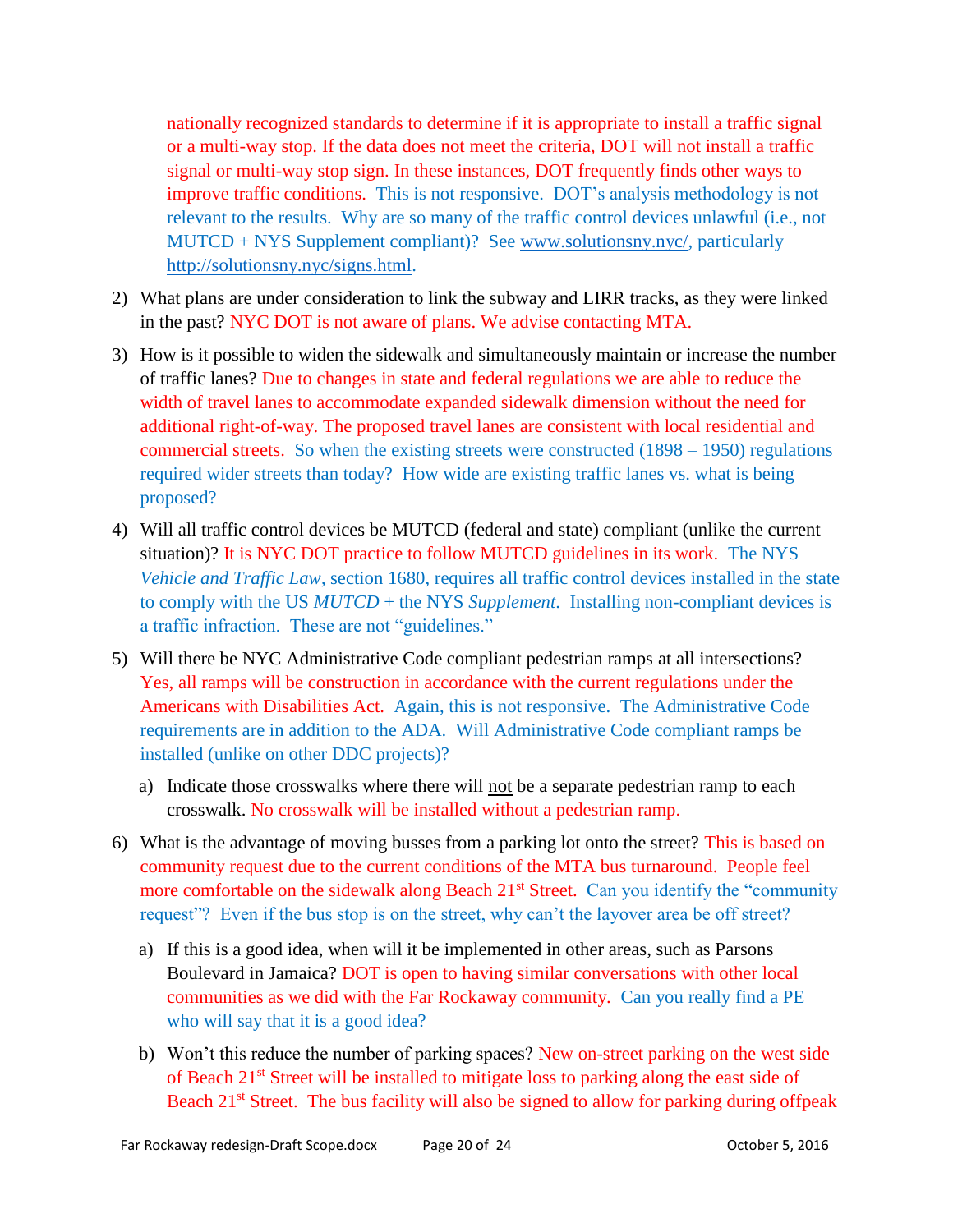nationally recognized standards to determine if it is appropriate to install a traffic signal or a multi-way stop. If the data does not meet the criteria, DOT will not install a traffic signal or multi-way stop sign. In these instances, DOT frequently finds other ways to improve traffic conditions. This is not responsive. DOT's analysis methodology is not relevant to the results. Why are so many of the traffic control devices unlawful (i.e., not MUTCD + NYS Supplement compliant)? See [www.solutionsny.nyc/,](http://www.solutionsny.nyc/) particularly [http://solutionsny.nyc/signs.html.](http://solutionsny.nyc/signs.html)

- 2) What plans are under consideration to link the subway and LIRR tracks, as they were linked in the past? NYC DOT is not aware of plans. We advise contacting MTA.
- 3) How is it possible to widen the sidewalk and simultaneously maintain or increase the number of traffic lanes? Due to changes in state and federal regulations we are able to reduce the width of travel lanes to accommodate expanded sidewalk dimension without the need for additional right-of-way. The proposed travel lanes are consistent with local residential and commercial streets. So when the existing streets were constructed (1898 – 1950) regulations required wider streets than today? How wide are existing traffic lanes vs. what is being proposed?
- 4) Will all traffic control devices be MUTCD (federal and state) compliant (unlike the current situation)? It is NYC DOT practice to follow MUTCD guidelines in its work. The NYS *Vehicle and Traffic Law*, section 1680, requires all traffic control devices installed in the state to comply with the US *MUTCD* + the NYS *Supplement*. Installing non-compliant devices is a traffic infraction. These are not "guidelines."
- 5) Will there be NYC Administrative Code compliant pedestrian ramps at all intersections? Yes, all ramps will be construction in accordance with the current regulations under the Americans with Disabilities Act. Again, this is not responsive. The Administrative Code requirements are in addition to the ADA. Will Administrative Code compliant ramps be installed (unlike on other DDC projects)?
	- a) Indicate those crosswalks where there will not be a separate pedestrian ramp to each crosswalk. No crosswalk will be installed without a pedestrian ramp.
- 6) What is the advantage of moving busses from a parking lot onto the street? This is based on community request due to the current conditions of the MTA bus turnaround. People feel more comfortable on the sidewalk along Beach  $21<sup>st</sup>$  Street. Can you identify the "community request"? Even if the bus stop is on the street, why can't the layover area be off street?
	- a) If this is a good idea, when will it be implemented in other areas, such as Parsons Boulevard in Jamaica? DOT is open to having similar conversations with other local communities as we did with the Far Rockaway community. Can you really find a PE who will say that it is a good idea?
	- b) Won't this reduce the number of parking spaces? New on-street parking on the west side of Beach 21<sup>st</sup> Street will be installed to mitigate loss to parking along the east side of Beach  $21<sup>st</sup>$  Street. The bus facility will also be signed to allow for parking during offpeak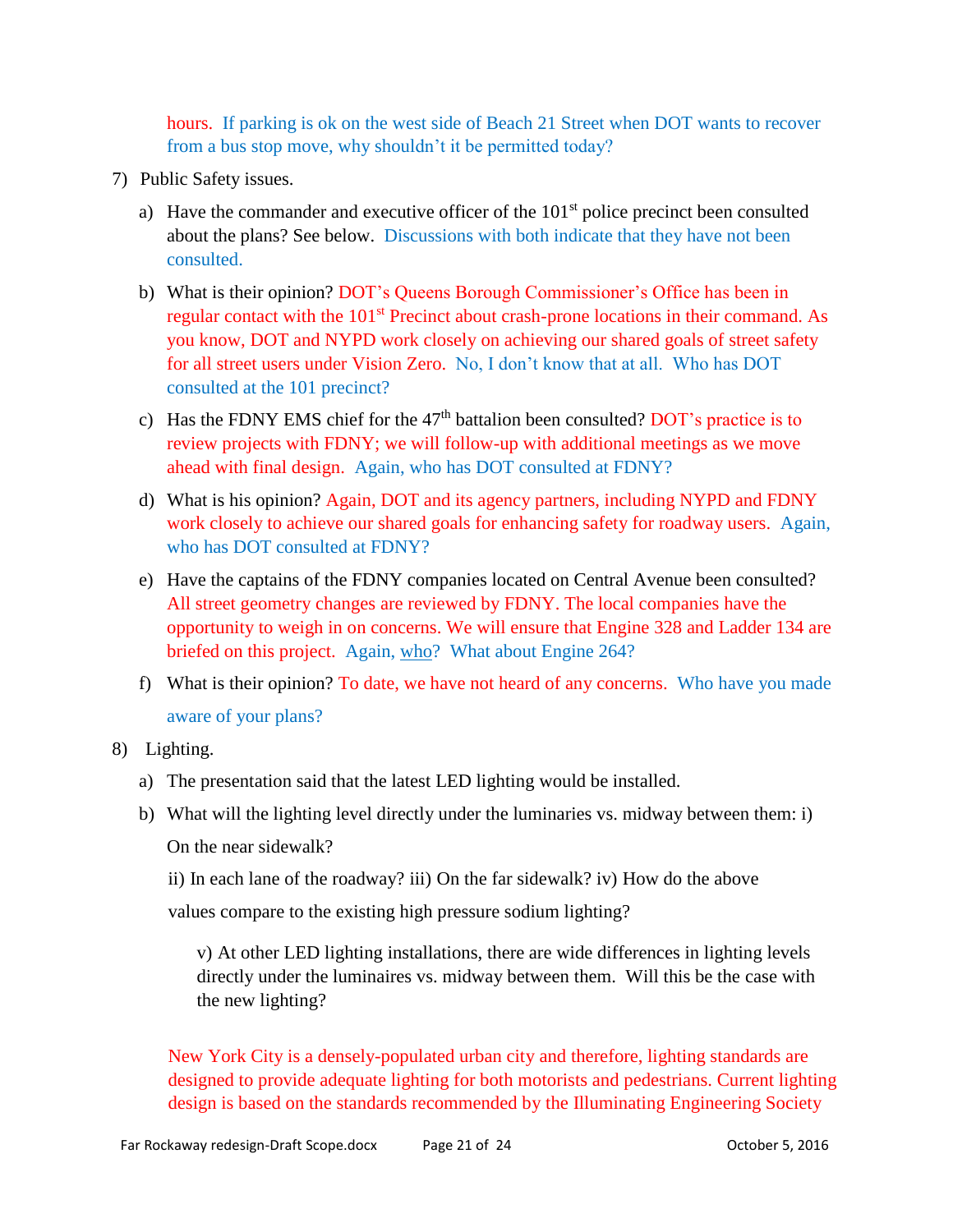hours. If parking is ok on the west side of Beach 21 Street when DOT wants to recover from a bus stop move, why shouldn't it be permitted today?

- 7) Public Safety issues.
	- a) Have the commander and executive officer of the  $101<sup>st</sup>$  police precinct been consulted about the plans? See below. Discussions with both indicate that they have not been consulted.
	- b) What is their opinion? DOT's Queens Borough Commissioner's Office has been in regular contact with the 101<sup>st</sup> Precinct about crash-prone locations in their command. As you know, DOT and NYPD work closely on achieving our shared goals of street safety for all street users under Vision Zero. No, I don't know that at all. Who has DOT consulted at the 101 precinct?
	- c) Has the FDNY EMS chief for the  $47<sup>th</sup>$  battalion been consulted? DOT's practice is to review projects with FDNY; we will follow-up with additional meetings as we move ahead with final design. Again, who has DOT consulted at FDNY?
	- d) What is his opinion? Again, DOT and its agency partners, including NYPD and FDNY work closely to achieve our shared goals for enhancing safety for roadway users. Again, who has DOT consulted at FDNY?
	- e) Have the captains of the FDNY companies located on Central Avenue been consulted? All street geometry changes are reviewed by FDNY. The local companies have the opportunity to weigh in on concerns. We will ensure that Engine 328 and Ladder 134 are briefed on this project. Again, who? What about Engine 264?
	- f) What is their opinion? To date, we have not heard of any concerns. Who have you made aware of your plans?

#### 8) Lighting.

- a) The presentation said that the latest LED lighting would be installed.
- b) What will the lighting level directly under the luminaries vs. midway between them: i) On the near sidewalk?
	- ii) In each lane of the roadway? iii) On the far sidewalk? iv) How do the above

values compare to the existing high pressure sodium lighting?

v) At other LED lighting installations, there are wide differences in lighting levels directly under the luminaires vs. midway between them. Will this be the case with the new lighting?

New York City is a densely-populated urban city and therefore, lighting standards are designed to provide adequate lighting for both motorists and pedestrians. Current lighting design is based on the standards recommended by the Illuminating Engineering Society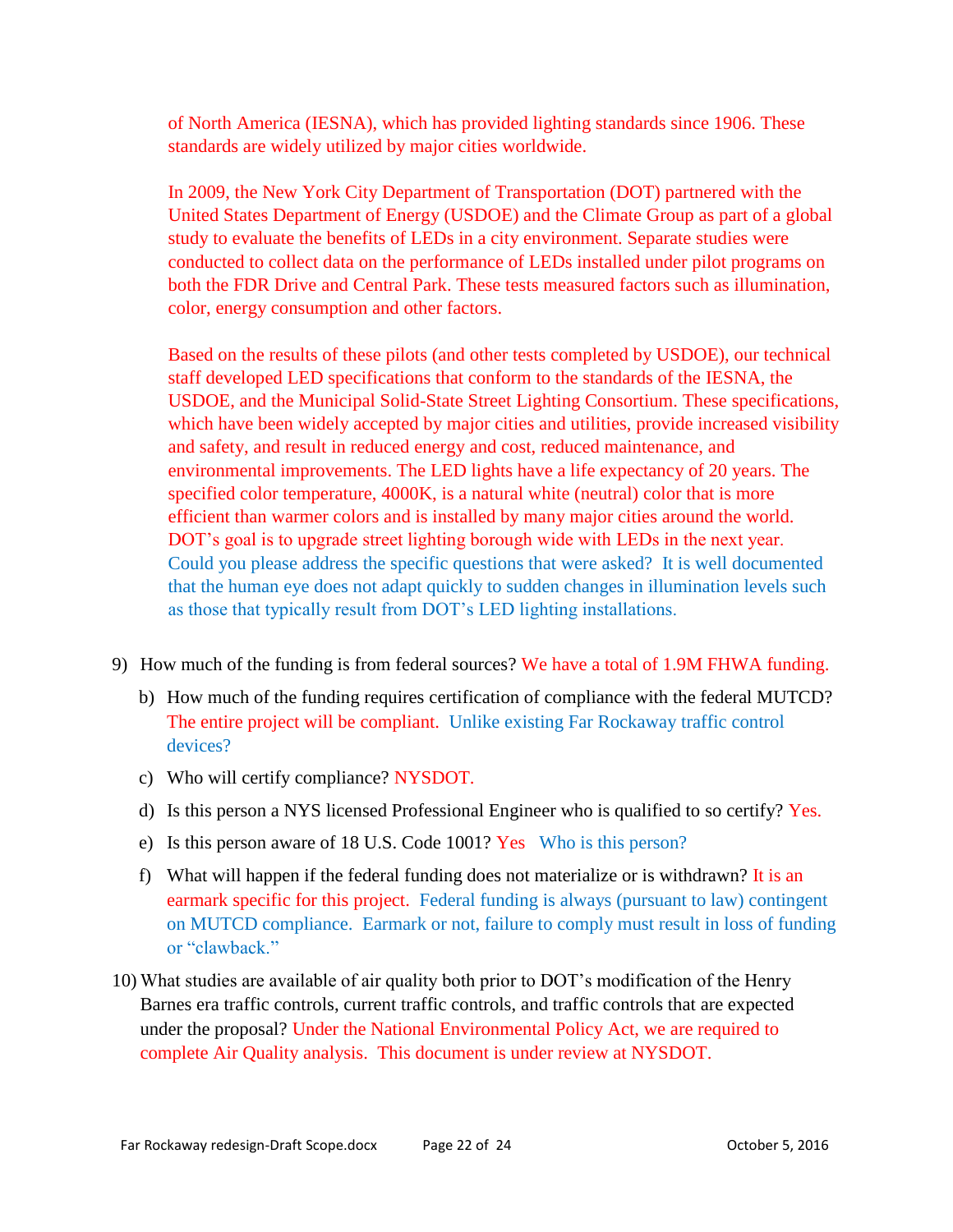of North America (IESNA), which has provided lighting standards since 1906. These standards are widely utilized by major cities worldwide.

In 2009, the New York City Department of Transportation (DOT) partnered with the United States Department of Energy (USDOE) and the Climate Group as part of a global study to evaluate the benefits of LEDs in a city environment. Separate studies were conducted to collect data on the performance of LEDs installed under pilot programs on both the FDR Drive and Central Park. These tests measured factors such as illumination, color, energy consumption and other factors.

Based on the results of these pilots (and other tests completed by USDOE), our technical staff developed LED specifications that conform to the standards of the IESNA, the USDOE, and the Municipal Solid-State Street Lighting Consortium. These specifications, which have been widely accepted by major cities and utilities, provide increased visibility and safety, and result in reduced energy and cost, reduced maintenance, and environmental improvements. The LED lights have a life expectancy of 20 years. The specified color temperature, 4000K, is a natural white (neutral) color that is more efficient than warmer colors and is installed by many major cities around the world. DOT's goal is to upgrade street lighting borough wide with LEDs in the next year. Could you please address the specific questions that were asked? It is well documented that the human eye does not adapt quickly to sudden changes in illumination levels such as those that typically result from DOT's LED lighting installations.

- 9) How much of the funding is from federal sources? We have a total of 1.9M FHWA funding.
	- b) How much of the funding requires certification of compliance with the federal MUTCD? The entire project will be compliant. Unlike existing Far Rockaway traffic control devices?
	- c) Who will certify compliance? NYSDOT.
	- d) Is this person a NYS licensed Professional Engineer who is qualified to so certify? Yes.
	- e) Is this person aware of 18 U.S. Code 1001? Yes Who is this person?
	- f) What will happen if the federal funding does not materialize or is withdrawn? It is an earmark specific for this project. Federal funding is always (pursuant to law) contingent on MUTCD compliance. Earmark or not, failure to comply must result in loss of funding or "clawback."
- 10) What studies are available of air quality both prior to DOT's modification of the Henry Barnes era traffic controls, current traffic controls, and traffic controls that are expected under the proposal? Under the National Environmental Policy Act, we are required to complete Air Quality analysis. This document is under review at NYSDOT.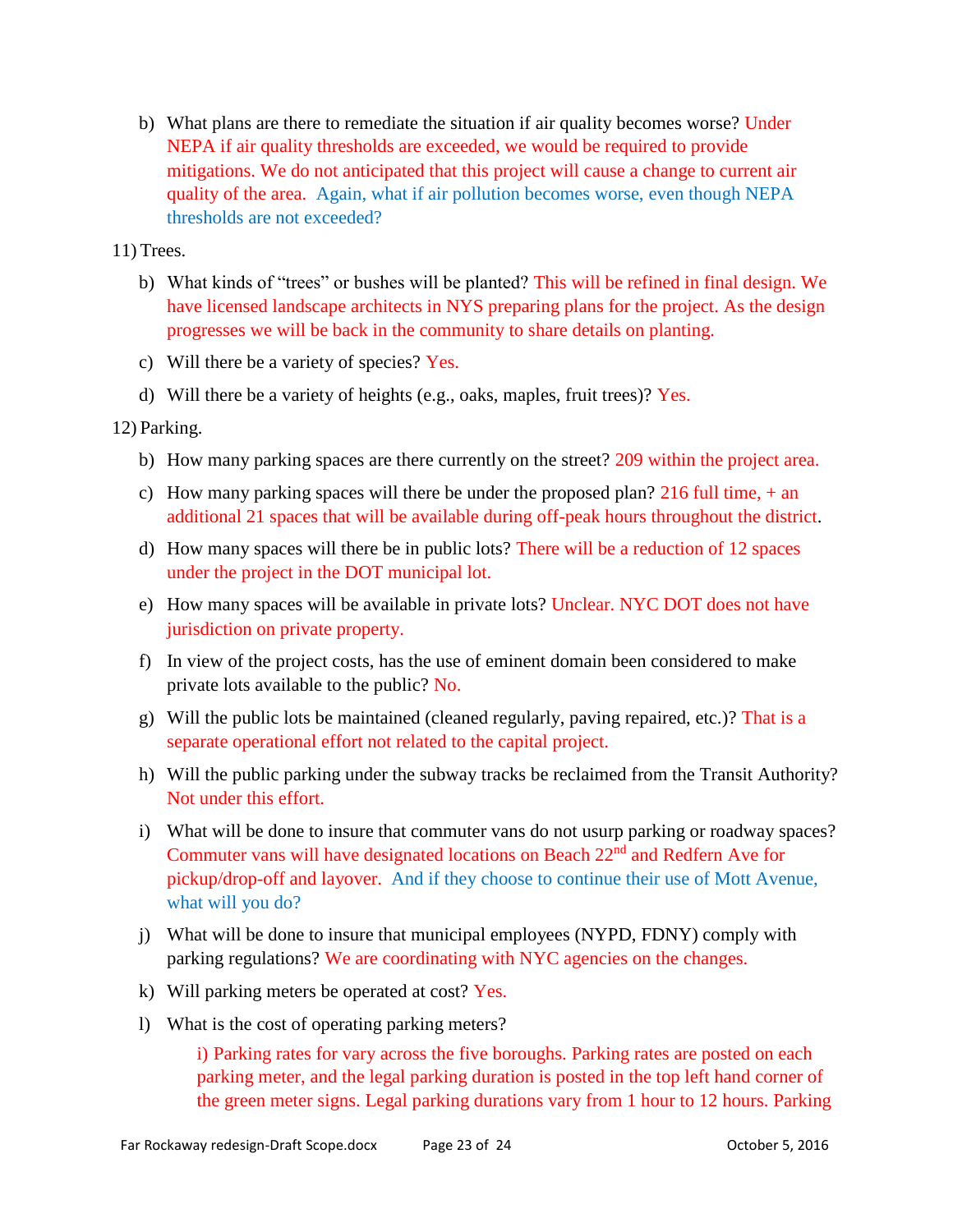b) What plans are there to remediate the situation if air quality becomes worse? Under NEPA if air quality thresholds are exceeded, we would be required to provide mitigations. We do not anticipated that this project will cause a change to current air quality of the area. Again, what if air pollution becomes worse, even though NEPA thresholds are not exceeded?

11) Trees.

- b) What kinds of "trees" or bushes will be planted? This will be refined in final design. We have licensed landscape architects in NYS preparing plans for the project. As the design progresses we will be back in the community to share details on planting.
- c) Will there be a variety of species? Yes.
- d) Will there be a variety of heights (e.g., oaks, maples, fruit trees)? Yes.

12) Parking.

- b) How many parking spaces are there currently on the street? 209 within the project area.
- c) How many parking spaces will there be under the proposed plan? 216 full time, + an additional 21 spaces that will be available during off-peak hours throughout the district.
- d) How many spaces will there be in public lots? There will be a reduction of 12 spaces under the project in the DOT municipal lot.
- e) How many spaces will be available in private lots? Unclear. NYC DOT does not have jurisdiction on private property.
- f) In view of the project costs, has the use of eminent domain been considered to make private lots available to the public? No.
- g) Will the public lots be maintained (cleaned regularly, paving repaired, etc.)? That is a separate operational effort not related to the capital project.
- h) Will the public parking under the subway tracks be reclaimed from the Transit Authority? Not under this effort.
- i) What will be done to insure that commuter vans do not usurp parking or roadway spaces? Commuter vans will have designated locations on Beach 22nd and Redfern Ave for pickup/drop-off and layover. And if they choose to continue their use of Mott Avenue, what will you do?
- j) What will be done to insure that municipal employees (NYPD, FDNY) comply with parking regulations? We are coordinating with NYC agencies on the changes.
- k) Will parking meters be operated at cost? Yes.
- l) What is the cost of operating parking meters?

i) Parking rates for vary across the five boroughs. Parking rates are posted on each parking meter, and the legal parking duration is posted in the top left hand corner of the green meter signs. Legal parking durations vary from 1 hour to 12 hours. Parking